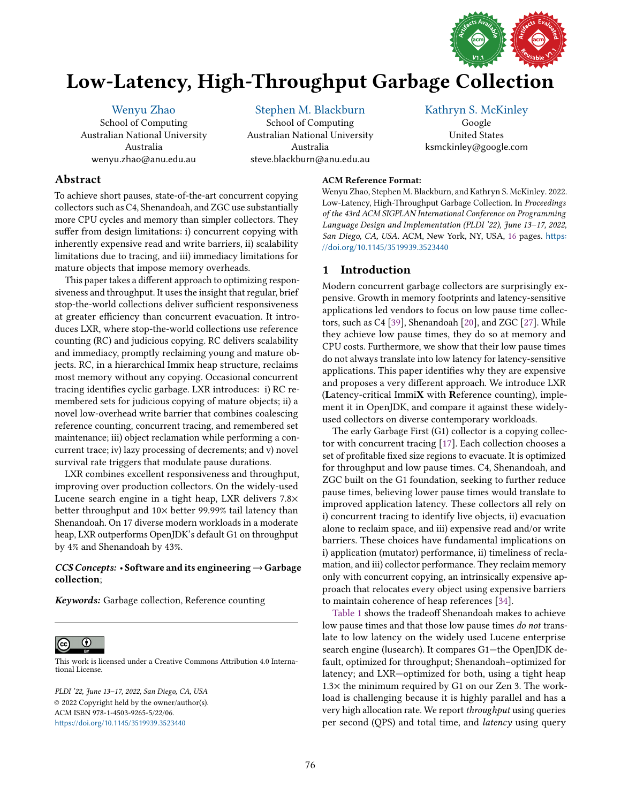

# Low-Latency, High-Throughput Garbage Collection

[Wenyu Zhao](https://orcid.org/0000-0002-5148-5736) School of Computing Australian National University Australia wenyu.zhao@anu.edu.au

[Stephen M. Blackburn](https://orcid.org/0000-0001-6632-6001) School of Computing Australian National University Australia steve.blackburn@anu.edu.au

### [Kathryn S. McKinley](https://orcid.org/0000-0002-7188-2501)

Google United States ksmckinley@google.com

# Abstract

To achieve short pauses, state-of-the-art concurrent copying collectors such as C4, Shenandoah, and ZGC use substantially more CPU cycles and memory than simpler collectors. They suffer from design limitations: i) concurrent copying with inherently expensive read and write barriers, ii) scalability limitations due to tracing, and iii) immediacy limitations for mature objects that impose memory overheads.

This paper takes a different approach to optimizing responsiveness and throughput. It uses the insight that regular, brief stop-the-world collections deliver sufficient responsiveness at greater efficiency than concurrent evacuation. It introduces LXR, where stop-the-world collections use reference counting (RC) and judicious copying. RC delivers scalability and immediacy, promptly reclaiming young and mature objects. RC, in a hierarchical Immix heap structure, reclaims most memory without any copying. Occasional concurrent tracing identifies cyclic garbage. LXR introduces: i) RC remembered sets for judicious copying of mature objects; ii) a novel low-overhead write barrier that combines coalescing reference counting, concurrent tracing, and remembered set maintenance; iii) object reclamation while performing a concurrent trace; iv) lazy processing of decrements; and v) novel survival rate triggers that modulate pause durations.

LXR combines excellent responsiveness and throughput, improving over production collectors. On the widely-used Lucene search engine in a tight heap, LXR delivers 7.8× better throughput and  $10\times$  better 99.99% tail latency than Shenandoah. On 17 diverse modern workloads in a moderate heap, LXR outperforms OpenJDK's default G1 on throughput by 4% and Shenandoah by 43%.

# $CCS$  Concepts: • Software and its engineering  $\rightarrow$  Garbage collection;

Keywords: Garbage collection, Reference counting



[This work is licensed under a Creative Commons Attribution 4.0 Interna](http://creativecommons.org/licenses/by/4.0/)tional License.

PLDI '22, June 13-17, 2022, San Diego, CA, USA © 2022 Copyright held by the owner/author(s). ACM ISBN 978-1-4503-9265-5/22/06. <https://doi.org/10.1145/3519939.3523440>

#### ACM Reference Format:

Wenyu Zhao, Stephen M. Blackburn, and Kathryn S. McKinley. 2022. Low-Latency, High-Throughput Garbage Collection. In Proceedings of the 43rd ACM SIGPLAN International Conference on Programming Language Design and Implementation (PLDI '22), June 13-17, 2022, San Diego, CA, USA. ACM, New York, NY, USA, [16](#page-15-0) pages. [https:](https://doi.org/10.1145/3519939.3523440) [//doi.org/10.1145/3519939.3523440](https://doi.org/10.1145/3519939.3523440)

# 1 Introduction

Modern concurrent garbage collectors are surprisingly expensive. Growth in memory footprints and latency-sensitive applications led vendors to focus on low pause time collectors, such as C4 [\[39\]](#page-15-1), Shenandoah [\[20\]](#page-14-0), and ZGC [\[27\]](#page-15-2). While they achieve low pause times, they do so at memory and CPU costs. Furthermore, we show that their low pause times do not always translate into low latency for latency-sensitive applications. This paper identifies why they are expensive and proposes a very different approach. We introduce LXR (Latency-critical ImmiX with Reference counting), implement it in OpenJDK, and compare it against these widelyused collectors on diverse contemporary workloads.

The early Garbage First (G1) collector is a copying collector with concurrent tracing [\[17\]](#page-14-1). Each collection chooses a set of profitable fixed size regions to evacuate. It is optimized for throughput and low pause times. C4, Shenandoah, and ZGC built on the G1 foundation, seeking to further reduce pause times, believing lower pause times would translate to improved application latency. These collectors all rely on i) concurrent tracing to identify live objects, ii) evacuation alone to reclaim space, and iii) expensive read and/or write barriers. These choices have fundamental implications on i) application (mutator) performance, ii) timeliness of reclamation, and iii) collector performance. They reclaim memory only with concurrent copying, an intrinsically expensive approach that relocates every object using expensive barriers to maintain coherence of heap references [\[34\]](#page-15-3).

[Table 1](#page-1-0) shows the tradeoff Shenandoah makes to achieve low pause times and that those low pause times do not translate to low latency on the widely used Lucene enterprise search engine (lusearch). It compares G1-the OpenJDK default, optimized for throughput; Shenandoah-optimized for latency; and LXR-optimized for both, using a tight heap 1.3× the minimum required by G1 on our Zen 3. The workload is challenging because it is highly parallel and has a very high allocation rate. We report throughput using queries per second (QPS) and total time, and latency using query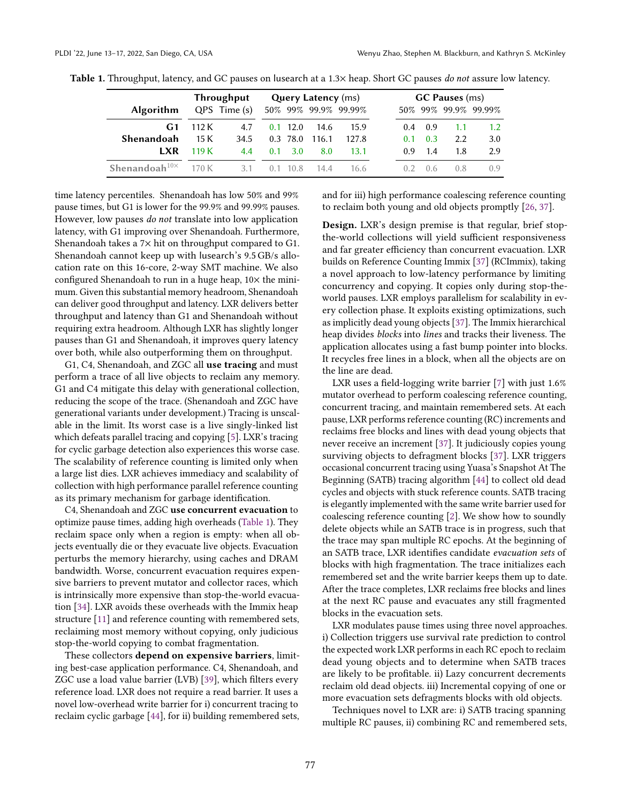|                       | <b>Throughput</b> | <b>Query Latency</b> (ms) |                |          |       |                      | <b>GC Pauses</b> (ms) |                |     |     |                      |
|-----------------------|-------------------|---------------------------|----------------|----------|-------|----------------------|-----------------------|----------------|-----|-----|----------------------|
| <b>Algorithm</b>      |                   | QPS Time (s)              |                |          |       | 50% 99% 99.9% 99.99% |                       |                |     |     | 50% 99% 99.9% 99.99% |
| G1                    | 112 K             | 4.7                       |                | 12.0     | 14.6  | 15.9                 |                       | (14)           | 0.9 | 1.1 | 1.2                  |
| Shenandoah            | 15 K              | 34.5                      |                | 0.3 78.0 | 116.1 | 127.8                |                       | 0 <sup>1</sup> | 0.3 | 2.2 | 3.0                  |
| <b>LXR</b>            | 119 K             | 4.4                       | 0 <sup>1</sup> | 3.0      | 8.0   | 13 1                 |                       | 09             | 1.4 | 1.8 | 2.9                  |
| Shenandoah $10\times$ | 170 K             | 31                        |                |          | 14 4  | 16 6                 |                       |                |     | 0.8 | ()Q                  |

<span id="page-1-0"></span>Table 1. Throughput, latency, and GC pauses on lusearch at a 1.3× heap. Short GC pauses do not assure low latency.

time latency percentiles. Shenandoah has low 50% and 99% pause times, but G1 is lower for the 99.9% and 99.99% pauses. However, low pauses do not translate into low application latency, with G1 improving over Shenandoah. Furthermore, Shenandoah takes a 7× hit on throughput compared to G1. Shenandoah cannot keep up with lusearch's 9.5 GB/s allocation rate on this 16-core, 2-way SMT machine. We also configured Shenandoah to run in a huge heap,  $10\times$  the minimum. Given this substantial memory headroom, Shenandoah can deliver good throughput and latency. LXR delivers better throughput and latency than G1 and Shenandoah without requiring extra headroom. Although LXR has slightly longer pauses than G1 and Shenandoah, it improves query latency over both, while also outperforming them on throughput.

G1, C4, Shenandoah, and ZGC all use tracing and must perform a trace of all live objects to reclaim any memory. G1 and C4 mitigate this delay with generational collection, reducing the scope of the trace. (Shenandoah and ZGC have generational variants under development.) Tracing is unscalable in the limit. Its worst case is a live singly-linked list which defeats parallel tracing and copying [\[5\]](#page-14-2). LXR's tracing for cyclic garbage detection also experiences this worse case. The scalability of reference counting is limited only when a large list dies. LXR achieves immediacy and scalability of collection with high performance parallel reference counting as its primary mechanism for garbage identification.

C4, Shenandoah and ZGC use concurrent evacuation to optimize pause times, adding high overheads [\(Table 1\)](#page-1-0). They reclaim space only when a region is empty: when all objects eventually die or they evacuate live objects. Evacuation perturbs the memory hierarchy, using caches and DRAM bandwidth. Worse, concurrent evacuation requires expensive barriers to prevent mutator and collector races, which is intrinsically more expensive than stop-the-world evacuation [\[34\]](#page-15-3). LXR avoids these overheads with the Immix heap structure [\[11\]](#page-14-3) and reference counting with remembered sets, reclaiming most memory without copying, only judicious stop-the-world copying to combat fragmentation.

These collectors depend on expensive barriers, limiting best-case application performance. C4, Shenandoah, and ZGC use a load value barrier (LVB) [\[39\]](#page-15-1), which filters every reference load. LXR does not require a read barrier. It uses a novel low-overhead write barrier for i) concurrent tracing to reclaim cyclic garbage [\[44\]](#page-15-4), for ii) building remembered sets, and for iii) high performance coalescing reference counting to reclaim both young and old objects promptly [\[26,](#page-14-4) [37\]](#page-15-5).

Design. LXR's design premise is that regular, brief stopthe-world collections will yield sufficient responsiveness and far greater efficiency than concurrent evacuation. LXR builds on Reference Counting Immix [\[37\]](#page-15-5) (RCImmix), taking a novel approach to low-latency performance by limiting concurrency and copying. It copies only during stop-theworld pauses. LXR employs parallelism for scalability in every collection phase. It exploits existing optimizations, such as implicitly dead young objects [\[37\]](#page-15-5). The Immix hierarchical heap divides blocks into lines and tracks their liveness. The application allocates using a fast bump pointer into blocks. It recycles free lines in a block, when all the objects are on the line are dead.

LXR uses a field-logging write barrier [\[7\]](#page-14-5) with just 1.6% mutator overhead to perform coalescing reference counting, concurrent tracing, and maintain remembered sets. At each pause, LXR performs reference counting (RC) increments and reclaims free blocks and lines with dead young objects that never receive an increment [\[37\]](#page-15-5). It judiciously copies young surviving objects to defragment blocks [\[37\]](#page-15-5). LXR triggers occasional concurrent tracing using Yuasa's Snapshot At The Beginning (SATB) tracing algorithm [\[44\]](#page-15-4) to collect old dead cycles and objects with stuck reference counts. SATB tracing is elegantly implemented with the same write barrier used for coalescing reference counting [\[2\]](#page-14-6). We show how to soundly delete objects while an SATB trace is in progress, such that the trace may span multiple RC epochs. At the beginning of an SATB trace, LXR identifies candidate evacuation sets of blocks with high fragmentation. The trace initializes each remembered set and the write barrier keeps them up to date. After the trace completes, LXR reclaims free blocks and lines at the next RC pause and evacuates any still fragmented blocks in the evacuation sets.

LXR modulates pause times using three novel approaches. i) Collection triggers use survival rate prediction to control the expected work LXR performs in each RC epoch to reclaim dead young objects and to determine when SATB traces are likely to be profitable. ii) Lazy concurrent decrements reclaim old dead objects. iii) Incremental copying of one or more evacuation sets defragments blocks with old objects.

Techniques novel to LXR are: i) SATB tracing spanning multiple RC pauses, ii) combining RC and remembered sets,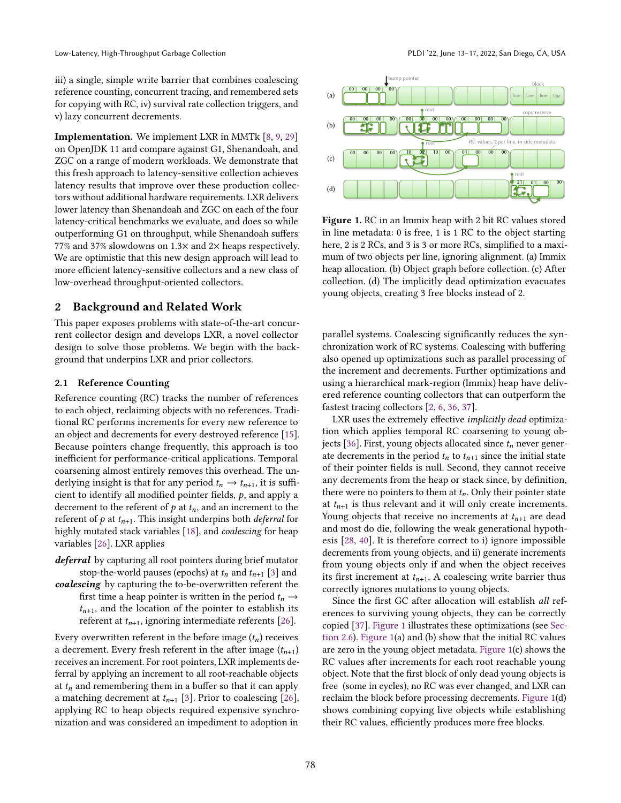iii) a single, simple write barrier that combines coalescing reference counting, concurrent tracing, and remembered sets for copying with RC, iv) survival rate collection triggers, and v) lazy concurrent decrements.

Implementation. We implement LXR in MMTk [\[8,](#page-14-7) [9,](#page-14-8) [29\]](#page-15-6) on OpenJDK 11 and compare against G1, Shenandoah, and ZGC on a range of modern workloads. We demonstrate that this fresh approach to latency-sensitive collection achieves latency results that improve over these production collectors without additional hardware requirements. LXR delivers lower latency than Shenandoah and ZGC on each of the four latency-critical benchmarks we evaluate, and does so while outperforming G1 on throughput, while Shenandoah suffers 77% and 37% slowdowns on 1.3× and 2× heaps respectively. We are optimistic that this new design approach will lead to more efficient latency-sensitive collectors and a new class of low-overhead throughput-oriented collectors.

## 2 Background and Related Work

This paper exposes problems with state-of-the-art concurrent collector design and develops LXR, a novel collector design to solve those problems. We begin with the background that underpins LXR and prior collectors.

### <span id="page-2-1"></span>2.1 Reference Counting

Reference counting (RC) tracks the number of references to each object, reclaiming objects with no references. Traditional RC performs increments for every new reference to an object and decrements for every destroyed reference [\[15\]](#page-14-9). Because pointers change frequently, this approach is too inefficient for performance-critical applications. Temporal coarsening almost entirely removes this overhead. The underlying insight is that for any period  $t_n \to t_{n+1}$ , it is sufficient to identify all modified pointer fields,  $p$ , and apply a decrement to the referent of  $p$  at  $t_n$ , and an increment to the referent of  $p$  at  $t_{n+1}$ . This insight underpins both *deferral* for highly mutated stack variables [\[18\]](#page-14-10), and coalescing for heap variables [\[26\]](#page-14-4). LXR applies

- deferral by capturing all root pointers during brief mutator stop-the-world pauses (epochs) at  $t_n$  and  $t_{n+1}$  [\[3\]](#page-14-11) and
- coalescing by capturing the to-be-overwritten referent the first time a heap pointer is written in the period  $t_n \rightarrow$  $t_{n+1}$ , and the location of the pointer to establish its referent at  $t_{n+1}$ , ignoring intermediate referents [\[26\]](#page-14-4).

Every overwritten referent in the before image  $(t_n)$  receives a decrement. Every fresh referent in the after image  $(t_{n+1})$ receives an increment. For root pointers, LXR implements deferral by applying an increment to all root-reachable objects at  $t_n$  and remembering them in a buffer so that it can apply a matching decrement at  $t_{n+1}$  [\[3\]](#page-14-11). Prior to coalescing [\[26\]](#page-14-4), applying RC to heap objects required expensive synchronization and was considered an impediment to adoption in

<span id="page-2-0"></span>

Figure 1. RC in an Immix heap with 2 bit RC values stored in line metadata: 0 is free, 1 is 1 RC to the object starting here, 2 is 2 RCs, and 3 is 3 or more RCs, simplified to a maximum of two objects per line, ignoring alignment. (a) Immix heap allocation. (b) Object graph before collection. (c) After collection. (d) The implicitly dead optimization evacuates young objects, creating 3 free blocks instead of 2.

parallel systems. Coalescing significantly reduces the synchronization work of RC systems. Coalescing with buffering also opened up optimizations such as parallel processing of the increment and decrements. Further optimizations and using a hierarchical mark-region (Immix) heap have delivered reference counting collectors that can outperform the fastest tracing collectors [\[2,](#page-14-6) [6,](#page-14-12) [36,](#page-15-7) [37\]](#page-15-5).

LXR uses the extremely effective implicitly dead optimization which applies temporal RC coarsening to young ob-jects [\[36\]](#page-15-7). First, young objects allocated since  $t_n$  never generate decrements in the period  $t_n$  to  $t_{n+1}$  since the initial state of their pointer fields is null. Second, they cannot receive any decrements from the heap or stack since, by definition, there were no pointers to them at  $t_n$ . Only their pointer state at  $t_{n+1}$  is thus relevant and it will only create increments. Young objects that receive no increments at  $t_{n+1}$  are dead and most do die, following the weak generational hypothesis [\[28,](#page-15-8) [40\]](#page-15-9). It is therefore correct to i) ignore impossible decrements from young objects, and ii) generate increments from young objects only if and when the object receives its first increment at  $t_{n+1}$ . A coalescing write barrier thus correctly ignores mutations to young objects.

Since the first GC after allocation will establish all references to surviving young objects, they can be correctly copied [\[37\]](#page-15-5). [Figure 1](#page-2-0) illustrates these optimizations (see [Sec](#page-4-0)[tion 2.6\)](#page-4-0). [Figure 1\(](#page-2-0)a) and (b) show that the initial RC values are zero in the young object metadata. [Figure 1\(](#page-2-0)c) shows the RC values after increments for each root reachable young object. Note that the first block of only dead young objects is free (some in cycles), no RC was ever changed, and LXR can reclaim the block before processing decrements. [Figure 1\(](#page-2-0)d) shows combining copying live objects while establishing their RC values, efficiently produces more free blocks.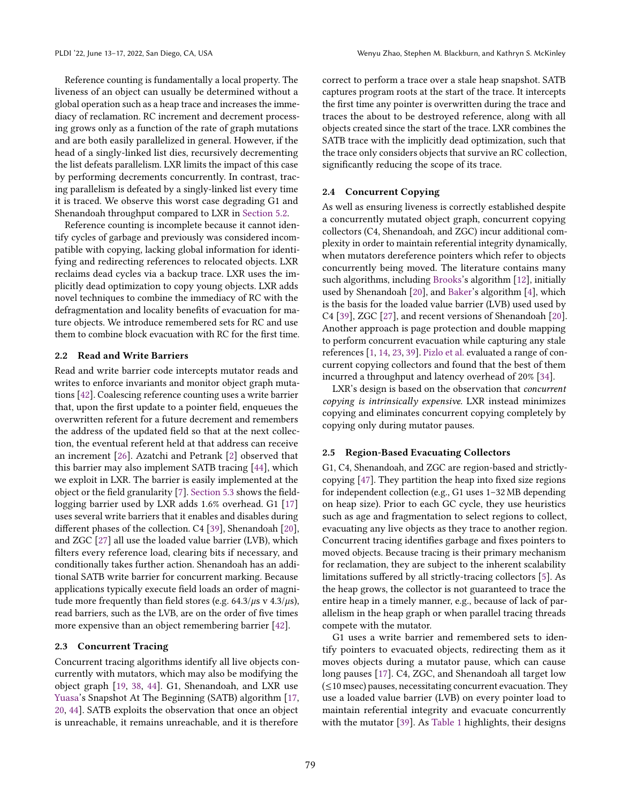Reference counting is fundamentally a local property. The liveness of an object can usually be determined without a global operation such as a heap trace and increases the immediacy of reclamation. RC increment and decrement processing grows only as a function of the rate of graph mutations and are both easily parallelized in general. However, if the head of a singly-linked list dies, recursively decrementing the list defeats parallelism. LXR limits the impact of this case by performing decrements concurrently. In contrast, tracing parallelism is defeated by a singly-linked list every time it is traced. We observe this worst case degrading G1 and Shenandoah throughput compared to LXR in [Section 5.2.](#page-11-0)

Reference counting is incomplete because it cannot identify cycles of garbage and previously was considered incompatible with copying, lacking global information for identifying and redirecting references to relocated objects. LXR reclaims dead cycles via a backup trace. LXR uses the implicitly dead optimization to copy young objects. LXR adds novel techniques to combine the immediacy of RC with the defragmentation and locality benefits of evacuation for mature objects. We introduce remembered sets for RC and use them to combine block evacuation with RC for the first time.

# 2.2 Read and Write Barriers

Read and write barrier code intercepts mutator reads and writes to enforce invariants and monitor object graph mutations [\[42\]](#page-15-10). Coalescing reference counting uses a write barrier that, upon the first update to a pointer field, enqueues the overwritten referent for a future decrement and remembers the address of the updated field so that at the next collection, the eventual referent held at that address can receive an increment [\[26\]](#page-14-4). Azatchi and Petrank [\[2\]](#page-14-6) observed that this barrier may also implement SATB tracing [\[44\]](#page-15-4), which we exploit in LXR. The barrier is easily implemented at the object or the field granularity [\[7\]](#page-14-5). [Section 5.3](#page-11-1) shows the fieldlogging barrier used by LXR adds 1.6% overhead. G1 [\[17\]](#page-14-1) uses several write barriers that it enables and disables during different phases of the collection. C4 [\[39\]](#page-15-1), Shenandoah [\[20\]](#page-14-0), and ZGC [\[27\]](#page-15-2) all use the loaded value barrier (LVB), which filters every reference load, clearing bits if necessary, and conditionally takes further action. Shenandoah has an additional SATB write barrier for concurrent marking. Because applications typically execute field loads an order of magnitude more frequently than field stores (e.g.  $64.3/\mu s$  v  $4.3/\mu s$ ), read barriers, such as the LVB, are on the order of five times more expensive than an object remembering barrier [\[42\]](#page-15-10).

#### 2.3 Concurrent Tracing

Concurrent tracing algorithms identify all live objects concurrently with mutators, which may also be modifying the object graph [\[19,](#page-14-13) [38,](#page-15-11) [44\]](#page-15-4). G1, Shenandoah, and LXR use [Yuasa'](#page-15-4)s Snapshot At The Beginning (SATB) algorithm [\[17,](#page-14-1) [20,](#page-14-0) [44\]](#page-15-4). SATB exploits the observation that once an object is unreachable, it remains unreachable, and it is therefore

correct to perform a trace over a stale heap snapshot. SATB captures program roots at the start of the trace. It intercepts the first time any pointer is overwritten during the trace and traces the about to be destroyed reference, along with all objects created since the start of the trace. LXR combines the SATB trace with the implicitly dead optimization, such that the trace only considers objects that survive an RC collection, significantly reducing the scope of its trace.

#### 2.4 Concurrent Copying

As well as ensuring liveness is correctly established despite a concurrently mutated object graph, concurrent copying collectors (C4, Shenandoah, and ZGC) incur additional complexity in order to maintain referential integrity dynamically, when mutators dereference pointers which refer to objects concurrently being moved. The literature contains many such algorithms, including [Brooks'](#page-14-14)s algorithm [\[12\]](#page-14-14), initially used by Shenandoah [\[20\]](#page-14-0), and [Baker'](#page-14-15)s algorithm [\[4\]](#page-14-15), which is the basis for the loaded value barrier (LVB) used used by C4 [\[39\]](#page-15-1), ZGC [\[27\]](#page-15-2), and recent versions of Shenandoah [\[20\]](#page-14-0). Another approach is page protection and double mapping to perform concurrent evacuation while capturing any stale references [\[1,](#page-14-16) [14,](#page-14-17) [23,](#page-14-18) [39\]](#page-15-1). [Pizlo et al.](#page-15-3) evaluated a range of concurrent copying collectors and found that the best of them incurred a throughput and latency overhead of 20% [\[34\]](#page-15-3).

LXR's design is based on the observation that concurrent copying is intrinsically expensive. LXR instead minimizes copying and eliminates concurrent copying completely by copying only during mutator pauses.

#### 2.5 Region-Based Evacuating Collectors

G1, C4, Shenandoah, and ZGC are region-based and strictlycopying [\[47\]](#page-15-12). They partition the heap into fixed size regions for independent collection (e.g.,  $G1$  uses  $1-32 \text{ MB}$  depending on heap size). Prior to each GC cycle, they use heuristics such as age and fragmentation to select regions to collect, evacuating any live objects as they trace to another region. Concurrent tracing identifies garbage and fixes pointers to moved objects. Because tracing is their primary mechanism for reclamation, they are subject to the inherent scalability limitations suffered by all strictly-tracing collectors [\[5\]](#page-14-2). As the heap grows, the collector is not guaranteed to trace the entire heap in a timely manner, e.g., because of lack of parallelism in the heap graph or when parallel tracing threads compete with the mutator.

G1 uses a write barrier and remembered sets to identify pointers to evacuated objects, redirecting them as it moves objects during a mutator pause, which can cause long pauses [\[17\]](#page-14-1). C4, ZGC, and Shenandoah all target low (≤10 msec) pauses, necessitating concurrent evacuation. They use a loaded value barrier (LVB) on every pointer load to maintain referential integrity and evacuate concurrently with the mutator [\[39\]](#page-15-1). As [Table 1](#page-1-0) highlights, their designs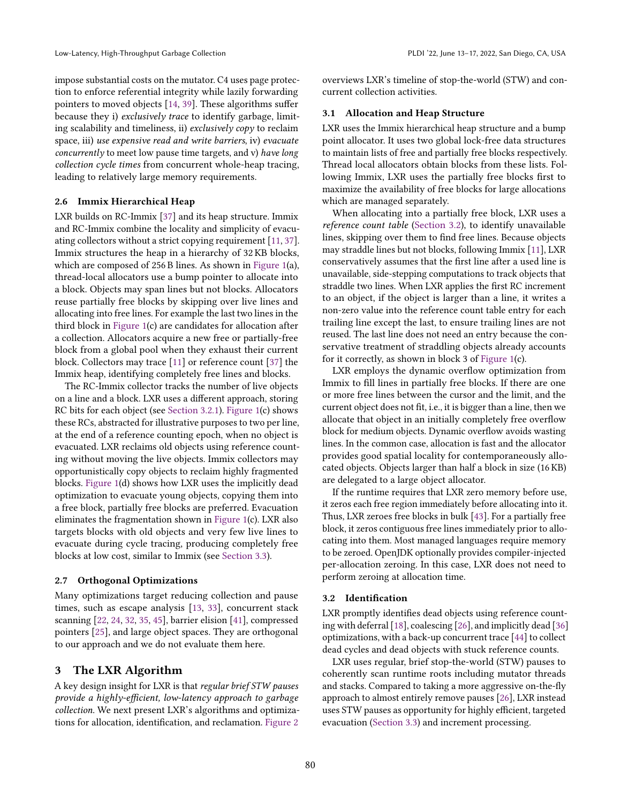impose substantial costs on the mutator. C4 uses page protection to enforce referential integrity while lazily forwarding pointers to moved objects [\[14,](#page-14-17) [39\]](#page-15-1). These algorithms suffer because they i) exclusively trace to identify garbage, limiting scalability and timeliness, ii) exclusively copy to reclaim space, iii) use expensive read and write barriers, iv) evacuate concurrently to meet low pause time targets, and v) have long collection cycle times from concurrent whole-heap tracing, leading to relatively large memory requirements.

#### <span id="page-4-0"></span>2.6 Immix Hierarchical Heap

LXR builds on RC-Immix [\[37\]](#page-15-5) and its heap structure. Immix and RC-Immix combine the locality and simplicity of evacuating collectors without a strict copying requirement [\[11,](#page-14-3) [37\]](#page-15-5). Immix structures the heap in a hierarchy of 32 KB blocks, which are composed of 256 B lines. As shown in [Figure 1\(](#page-2-0)a), thread-local allocators use a bump pointer to allocate into a block. Objects may span lines but not blocks. Allocators reuse partially free blocks by skipping over live lines and allocating into free lines. For example the last two lines in the third block in [Figure 1\(](#page-2-0)c) are candidates for allocation after a collection. Allocators acquire a new free or partially-free block from a global pool when they exhaust their current block. Collectors may trace [\[11\]](#page-14-3) or reference count [\[37\]](#page-15-5) the Immix heap, identifying completely free lines and blocks.

The RC-Immix collector tracks the number of live objects on a line and a block. LXR uses a different approach, storing RC bits for each object (see [Section 3.2.1\)](#page-5-0). [Figure 1\(](#page-2-0)c) shows these RCs, abstracted for illustrative purposes to two per line, at the end of a reference counting epoch, when no object is evacuated. LXR reclaims old objects using reference counting without moving the live objects. Immix collectors may opportunistically copy objects to reclaim highly fragmented blocks. [Figure 1\(](#page-2-0)d) shows how LXR uses the implicitly dead optimization to evacuate young objects, copying them into a free block, partially free blocks are preferred. Evacuation eliminates the fragmentation shown in [Figure 1\(](#page-2-0)c). LXR also targets blocks with old objects and very few live lines to evacuate during cycle tracing, producing completely free blocks at low cost, similar to Immix (see [Section 3.3\)](#page-6-0).

#### 2.7 Orthogonal Optimizations

Many optimizations target reducing collection and pause times, such as escape analysis [\[13,](#page-14-19) [33\]](#page-15-13), concurrent stack scanning [\[22,](#page-14-20) [24,](#page-14-21) [32,](#page-15-14) [35,](#page-15-15) [45\]](#page-15-16), barrier elision [\[41\]](#page-15-17), compressed pointers [\[25\]](#page-14-22), and large object spaces. They are orthogonal to our approach and we do not evaluate them here.

# 3 The LXR Algorithm

A key design insight for LXR is that regular brief STW pauses provide a highly-efficient, low-latency approach to garbage collection. We next present LXR's algorithms and optimizations for allocation, identification, and reclamation. [Figure 2](#page-5-1)

overviews LXR's timeline of stop-the-world (STW) and concurrent collection activities.

#### <span id="page-4-2"></span>3.1 Allocation and Heap Structure

LXR uses the Immix hierarchical heap structure and a bump point allocator. It uses two global lock-free data structures to maintain lists of free and partially free blocks respectively. Thread local allocators obtain blocks from these lists. Following Immix, LXR uses the partially free blocks first to maximize the availability of free blocks for large allocations which are managed separately.

When allocating into a partially free block, LXR uses a reference count table [\(Section 3.2\)](#page-4-1), to identify unavailable lines, skipping over them to find free lines. Because objects may straddle lines but not blocks, following Immix [\[11\]](#page-14-3), LXR conservatively assumes that the first line after a used line is unavailable, side-stepping computations to track objects that straddle two lines. When LXR applies the first RC increment to an object, if the object is larger than a line, it writes a non-zero value into the reference count table entry for each trailing line except the last, to ensure trailing lines are not reused. The last line does not need an entry because the conservative treatment of straddling objects already accounts for it correctly, as shown in block 3 of [Figure 1\(](#page-2-0)c).

LXR employs the dynamic overflow optimization from Immix to fill lines in partially free blocks. If there are one or more free lines between the cursor and the limit, and the current object does not fit, i.e., it is bigger than a line, then we allocate that object in an initially completely free overflow block for medium objects. Dynamic overflow avoids wasting lines. In the common case, allocation is fast and the allocator provides good spatial locality for contemporaneously allocated objects. Objects larger than half a block in size (16 KB) are delegated to a large object allocator.

If the runtime requires that LXR zero memory before use, it zeros each free region immediately before allocating into it. Thus, LXR zeroes free blocks in bulk [\[43\]](#page-15-18). For a partially free block, it zeros contiguous free lines immediately prior to allocating into them. Most managed languages require memory to be zeroed. OpenJDK optionally provides compiler-injected per-allocation zeroing. In this case, LXR does not need to perform zeroing at allocation time.

#### <span id="page-4-1"></span>3.2 Identification

LXR promptly identifies dead objects using reference counting with deferral [\[18\]](#page-14-10), coalescing [\[26\]](#page-14-4), and implicitly dead [\[36\]](#page-15-7) optimizations, with a back-up concurrent trace [\[44\]](#page-15-4) to collect dead cycles and dead objects with stuck reference counts.

LXR uses regular, brief stop-the-world (STW) pauses to coherently scan runtime roots including mutator threads and stacks. Compared to taking a more aggressive on-the-fly approach to almost entirely remove pauses [\[26\]](#page-14-4), LXR instead uses STW pauses as opportunity for highly efficient, targeted evacuation [\(Section 3.3\)](#page-6-0) and increment processing.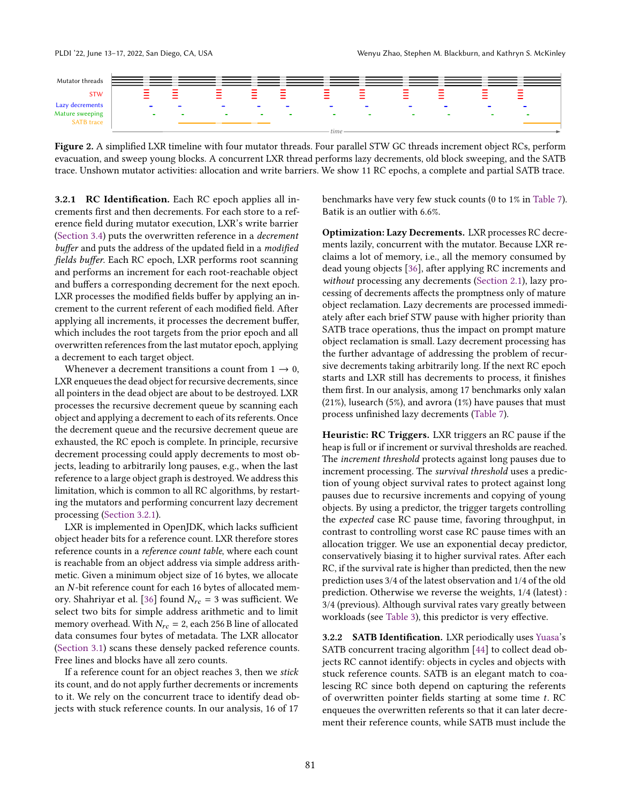<span id="page-5-1"></span>

Figure 2. A simplified LXR timeline with four mutator threads. Four parallel STW GC threads increment object RCs, perform evacuation, and sweep young blocks. A concurrent LXR thread performs lazy decrements, old block sweeping, and the SATB trace. Unshown mutator activities: allocation and write barriers. We show 11 RC epochs, a complete and partial SATB trace.

<span id="page-5-0"></span>3.2.1 RC Identification. Each RC epoch applies all increments first and then decrements. For each store to a reference field during mutator execution, LXR's write barrier [\(Section 3.4\)](#page-7-0) puts the overwritten reference in a decrement buffer and puts the address of the updated field in a modified fields buffer. Each RC epoch, LXR performs root scanning and performs an increment for each root-reachable object and buffers a corresponding decrement for the next epoch. LXR processes the modified fields buffer by applying an increment to the current referent of each modified field. After applying all increments, it processes the decrement buffer, which includes the root targets from the prior epoch and all overwritten references from the last mutator epoch, applying a decrement to each target object.

Whenever a decrement transitions a count from  $1 \rightarrow 0$ , LXR enqueues the dead object for recursive decrements, since all pointers in the dead object are about to be destroyed. LXR processes the recursive decrement queue by scanning each object and applying a decrement to each of its referents. Once the decrement queue and the recursive decrement queue are exhausted, the RC epoch is complete. In principle, recursive decrement processing could apply decrements to most objects, leading to arbitrarily long pauses, e.g., when the last reference to a large object graph is destroyed. We address this limitation, which is common to all RC algorithms, by restarting the mutators and performing concurrent lazy decrement processing [\(Section 3.2.1\)](#page-5-2).

LXR is implemented in OpenJDK, which lacks sufficient object header bits for a reference count. LXR therefore stores reference counts in a reference count table, where each count is reachable from an object address via simple address arithmetic. Given a minimum object size of 16 bytes, we allocate an  $N$ -bit reference count for each 16 bytes of allocated mem-ory. Shahriyar et al. [\[36\]](#page-15-7) found  $N_{rc} = 3$  was sufficient. We select two bits for simple address arithmetic and to limit memory overhead. With  $N_{rc} = 2$ , each 256 B line of allocated data consumes four bytes of metadata. The LXR allocator [\(Section 3.1\)](#page-4-2) scans these densely packed reference counts. Free lines and blocks have all zero counts.

If a reference count for an object reaches 3, then we stick its count, and do not apply further decrements or increments to it. We rely on the concurrent trace to identify dead objects with stuck reference counts. In our analysis, 16 of 17

benchmarks have very few stuck counts (0 to 1% in [Table 7\)](#page-12-0). Batik is an outlier with 6.6%.

<span id="page-5-2"></span>Optimization: Lazy Decrements. LXR processes RC decrements lazily, concurrent with the mutator. Because LXR reclaims a lot of memory, i.e., all the memory consumed by dead young objects [\[36\]](#page-15-7), after applying RC increments and without processing any decrements [\(Section 2.1\)](#page-2-1), lazy processing of decrements affects the promptness only of mature object reclamation. Lazy decrements are processed immediately after each brief STW pause with higher priority than SATB trace operations, thus the impact on prompt mature object reclamation is small. Lazy decrement processing has the further advantage of addressing the problem of recursive decrements taking arbitrarily long. If the next RC epoch starts and LXR still has decrements to process, it finishes them first. In our analysis, among 17 benchmarks only xalan (21%), lusearch (5%), and avrora (1%) have pauses that must process unfinished lazy decrements [\(Table 7\)](#page-12-0).

<span id="page-5-3"></span>Heuristic: RC Triggers. LXR triggers an RC pause if the heap is full or if increment or survival thresholds are reached. The increment threshold protects against long pauses due to increment processing. The survival threshold uses a prediction of young object survival rates to protect against long pauses due to recursive increments and copying of young objects. By using a predictor, the trigger targets controlling the expected case RC pause time, favoring throughput, in contrast to controlling worst case RC pause times with an allocation trigger. We use an exponential decay predictor, conservatively biasing it to higher survival rates. After each RC, if the survival rate is higher than predicted, then the new prediction uses 3/4 of the latest observation and 1/4 of the old prediction. Otherwise we reverse the weights, 1/4 (latest) : 3/4 (previous). Although survival rates vary greatly between workloads (see [Table 3\)](#page-9-0), this predictor is very effective.

3.2.2 SATB Identification. LXR periodically uses [Yuasa'](#page-15-4)s SATB concurrent tracing algorithm [\[44\]](#page-15-4) to collect dead objects RC cannot identify: objects in cycles and objects with stuck reference counts. SATB is an elegant match to coalescing RC since both depend on capturing the referents of overwritten pointer fields starting at some time  $t$ . RC enqueues the overwritten referents so that it can later decrement their reference counts, while SATB must include the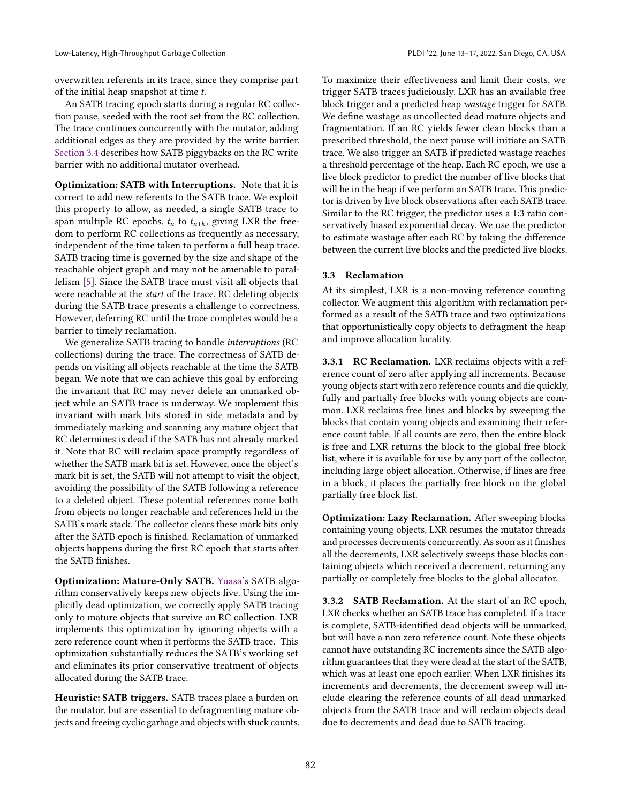overwritten referents in its trace, since they comprise part of the initial heap snapshot at time  $t$ .

An SATB tracing epoch starts during a regular RC collection pause, seeded with the root set from the RC collection. The trace continues concurrently with the mutator, adding additional edges as they are provided by the write barrier. [Section 3.4](#page-7-0) describes how SATB piggybacks on the RC write barrier with no additional mutator overhead.

Optimization: SATB with Interruptions. Note that it is correct to add new referents to the SATB trace. We exploit this property to allow, as needed, a single SATB trace to span multiple RC epochs,  $t_n$  to  $t_{n+k}$ , giving LXR the freedom to perform RC collections as frequently as necessary, independent of the time taken to perform a full heap trace. SATB tracing time is governed by the size and shape of the reachable object graph and may not be amenable to parallelism [\[5\]](#page-14-2). Since the SATB trace must visit all objects that were reachable at the start of the trace, RC deleting objects during the SATB trace presents a challenge to correctness. However, deferring RC until the trace completes would be a barrier to timely reclamation.

We generalize SATB tracing to handle interruptions (RC collections) during the trace. The correctness of SATB depends on visiting all objects reachable at the time the SATB began. We note that we can achieve this goal by enforcing the invariant that RC may never delete an unmarked object while an SATB trace is underway. We implement this invariant with mark bits stored in side metadata and by immediately marking and scanning any mature object that RC determines is dead if the SATB has not already marked it. Note that RC will reclaim space promptly regardless of whether the SATB mark bit is set. However, once the object's mark bit is set, the SATB will not attempt to visit the object, avoiding the possibility of the SATB following a reference to a deleted object. These potential references come both from objects no longer reachable and references held in the SATB's mark stack. The collector clears these mark bits only after the SATB epoch is finished. Reclamation of unmarked objects happens during the first RC epoch that starts after the SATB finishes.

Optimization: Mature-Only SATB. [Yuasa'](#page-15-4)s SATB algorithm conservatively keeps new objects live. Using the implicitly dead optimization, we correctly apply SATB tracing only to mature objects that survive an RC collection. LXR implements this optimization by ignoring objects with a zero reference count when it performs the SATB trace. This optimization substantially reduces the SATB's working set and eliminates its prior conservative treatment of objects allocated during the SATB trace.

<span id="page-6-1"></span>Heuristic: SATB triggers. SATB traces place a burden on the mutator, but are essential to defragmenting mature objects and freeing cyclic garbage and objects with stuck counts. To maximize their effectiveness and limit their costs, we trigger SATB traces judiciously. LXR has an available free block trigger and a predicted heap wastage trigger for SATB. We define wastage as uncollected dead mature objects and fragmentation. If an RC yields fewer clean blocks than a prescribed threshold, the next pause will initiate an SATB trace. We also trigger an SATB if predicted wastage reaches a threshold percentage of the heap. Each RC epoch, we use a live block predictor to predict the number of live blocks that will be in the heap if we perform an SATB trace. This predictor is driven by live block observations after each SATB trace. Similar to the RC trigger, the predictor uses a 1:3 ratio conservatively biased exponential decay. We use the predictor to estimate wastage after each RC by taking the difference between the current live blocks and the predicted live blocks.

#### <span id="page-6-0"></span>3.3 Reclamation

At its simplest, LXR is a non-moving reference counting collector. We augment this algorithm with reclamation performed as a result of the SATB trace and two optimizations that opportunistically copy objects to defragment the heap and improve allocation locality.

3.3.1 RC Reclamation. LXR reclaims objects with a reference count of zero after applying all increments. Because young objects start with zero reference counts and die quickly, fully and partially free blocks with young objects are common. LXR reclaims free lines and blocks by sweeping the blocks that contain young objects and examining their reference count table. If all counts are zero, then the entire block is free and LXR returns the block to the global free block list, where it is available for use by any part of the collector, including large object allocation. Otherwise, if lines are free in a block, it places the partially free block on the global partially free block list.

Optimization: Lazy Reclamation. After sweeping blocks containing young objects, LXR resumes the mutator threads and processes decrements concurrently. As soon as it finishes all the decrements, LXR selectively sweeps those blocks containing objects which received a decrement, returning any partially or completely free blocks to the global allocator.

3.3.2 SATB Reclamation. At the start of an RC epoch, LXR checks whether an SATB trace has completed. If a trace is complete, SATB-identified dead objects will be unmarked, but will have a non zero reference count. Note these objects cannot have outstanding RC increments since the SATB algorithm guarantees that they were dead at the start of the SATB, which was at least one epoch earlier. When LXR finishes its increments and decrements, the decrement sweep will include clearing the reference counts of all dead unmarked objects from the SATB trace and will reclaim objects dead due to decrements and dead due to SATB tracing.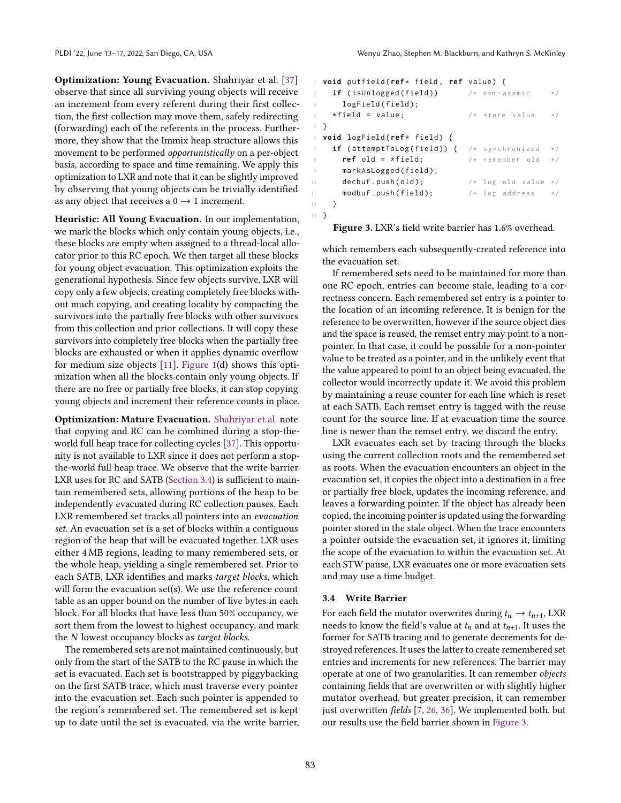<span id="page-7-3"></span>Optimization: Young Evacuation. Shahriyar et al. [\[37\]](#page-15-5) observe that since all surviving young objects will receive an increment from every referent during their first collection, the first collection may move them, safely redirecting (forwarding) each of the referents in the process. Furthermore, they show that the Immix heap structure allows this movement to be performed opportunistically on a per-object basis, according to space and time remaining. We apply this optimization to LXR and note that it can be slightly improved by observing that young objects can be trivially identified as any object that receives a  $0 \rightarrow 1$  increment.

Heuristic: All Young Evacuation. In our implementation, we mark the blocks which only contain young objects, i.e., these blocks are empty when assigned to a thread-local allocator prior to this RC epoch. We then target all these blocks for young object evacuation. This optimization exploits the generational hypothesis. Since few objects survive, LXR will copy only a few objects, creating completely free blocks without much copying, and creating locality by compacting the survivors into the partially free blocks with other survivors from this collection and prior collections. It will copy these survivors into completely free blocks when the partially free blocks are exhausted or when it applies dynamic overflow for medium size objects [\[11\]](#page-14-3). [Figure 1\(](#page-2-0)d) shows this optimization when all the blocks contain only young objects. If there are no free or partially free blocks, it can stop copying young objects and increment their reference counts in place.

<span id="page-7-2"></span>Optimization: Mature Evacuation. [Shahriyar et al.](#page-15-5) note that copying and RC can be combined during a stop-theworld full heap trace for collecting cycles [\[37\]](#page-15-5). This opportunity is not available to LXR since it does not perform a stopthe-world full heap trace. We observe that the write barrier LXR uses for RC and SATB [\(Section 3.4\)](#page-7-0) is sufficient to maintain remembered sets, allowing portions of the heap to be independently evacuated during RC collection pauses. Each LXR remembered set tracks all pointers into an evacuation set. An evacuation set is a set of blocks within a contiguous region of the heap that will be evacuated together. LXR uses either 4 MB regions, leading to many remembered sets, or the whole heap, yielding a single remembered set. Prior to each SATB, LXR identifies and marks target blocks, which will form the evacuation set(s). We use the reference count table as an upper bound on the number of live bytes in each block. For all blocks that have less than 50% occupancy, we sort them from the lowest to highest occupancy, and mark the  $N$  lowest occupancy blocks as target blocks.

The remembered sets are not maintained continuously, but only from the start of the SATB to the RC pause in which the set is evacuated. Each set is bootstrapped by piggybacking on the first SATB trace, which must traverse every pointer into the evacuation set. Each such pointer is appended to the region's remembered set. The remembered set is kept up to date until the set is evacuated, via the write barrier,

```
1 void putfield ( ref* field , ref value ) {
2 if (isUnlogged (field)) /* non-atomic */
3 logField(field);
4 *field = value; /* store value */
5 }
6 void logField ( ref* field ) {
    if (attemptToLog (field)) { /* synchronized */
      ref old = *field; /* remember old */
      markAsLogged(field);
10 decbuf.push(old); 4 \times 10 decklare \star/
11 modbuf.push (field); \frac{1}{x} log address
12 }
13 }
```
#### Figure 3. LXR's field write barrier has 1.6% overhead.

which remembers each subsequently-created reference into the evacuation set.

If remembered sets need to be maintained for more than one RC epoch, entries can become stale, leading to a correctness concern. Each remembered set entry is a pointer to the location of an incoming reference. It is benign for the reference to be overwritten, however if the source object dies and the space is reused, the remset entry may point to a nonpointer. In that case, it could be possible for a non-pointer value to be treated as a pointer, and in the unlikely event that the value appeared to point to an object being evacuated, the collector would incorrectly update it. We avoid this problem by maintaining a reuse counter for each line which is reset at each SATB. Each remset entry is tagged with the reuse count for the source line. If at evacuation time the source line is newer than the remset entry, we discard the entry.

LXR evacuates each set by tracing through the blocks using the current collection roots and the remembered set as roots. When the evacuation encounters an object in the evacuation set, it copies the object into a destination in a free or partially free block, updates the incoming reference, and leaves a forwarding pointer. If the object has already been copied, the incoming pointer is updated using the forwarding pointer stored in the stale object. When the trace encounters a pointer outside the evacuation set, it ignores it, limiting the scope of the evacuation to within the evacuation set. At each STW pause, LXR evacuates one or more evacuation sets and may use a time budget.

#### <span id="page-7-0"></span>3.4 Write Barrier

For each field the mutator overwrites during  $t_n \rightarrow t_{n+1}$ , LXR needs to know the field's value at  $t_n$  and at  $t_{n+1}$ . It uses the former for SATB tracing and to generate decrements for destroyed references. It uses the latter to create remembered set entries and increments for new references. The barrier may operate at one of two granularities. It can remember objects containing fields that are overwritten or with slightly higher mutator overhead, but greater precision, it can remember just overwritten fields [\[7,](#page-14-5) [26,](#page-14-4) [36\]](#page-15-7). We implemented both, but our results use the field barrier shown in [Figure 3.](#page-7-1)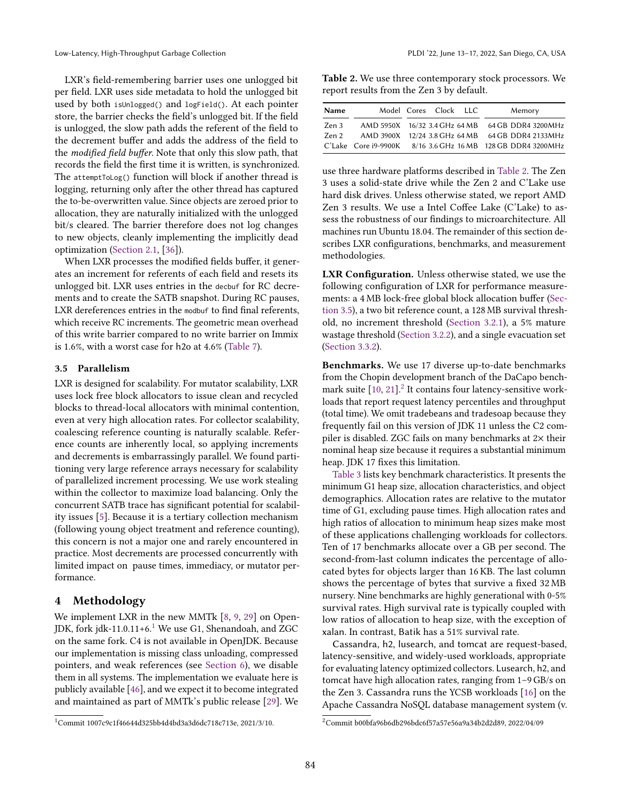Low-Latency, High-Throughput Garbage Collection **PLOI** '22, June 13-17, 2022, San Diego, CA, USA

LXR's field-remembering barrier uses one unlogged bit per field. LXR uses side metadata to hold the unlogged bit used by both isUnlogged() and logField(). At each pointer store, the barrier checks the field's unlogged bit. If the field is unlogged, the slow path adds the referent of the field to the decrement buffer and adds the address of the field to the modified field buffer. Note that only this slow path, that records the field the first time it is written, is synchronized. The attemptToLog() function will block if another thread is logging, returning only after the other thread has captured the to-be-overwritten value. Since objects are zeroed prior to allocation, they are naturally initialized with the unlogged bit/s cleared. The barrier therefore does not log changes to new objects, cleanly implementing the implicitly dead optimization [\(Section 2.1,](#page-2-1) [\[36\]](#page-15-7)).

When LXR processes the modified fields buffer, it generates an increment for referents of each field and resets its unlogged bit. LXR uses entries in the decbuf for RC decrements and to create the SATB snapshot. During RC pauses, LXR dereferences entries in the modbuf to find final referents, which receive RC increments. The geometric mean overhead of this write barrier compared to no write barrier on Immix is 1.6%, with a worst case for h2o at 4.6% [\(Table 7\)](#page-12-0).

#### <span id="page-8-2"></span>3.5 Parallelism

LXR is designed for scalability. For mutator scalability, LXR uses lock free block allocators to issue clean and recycled blocks to thread-local allocators with minimal contention, even at very high allocation rates. For collector scalability, coalescing reference counting is naturally scalable. Reference counts are inherently local, so applying increments and decrements is embarrassingly parallel. We found partitioning very large reference arrays necessary for scalability of parallelized increment processing. We use work stealing within the collector to maximize load balancing. Only the concurrent SATB trace has significant potential for scalability issues [\[5\]](#page-14-2). Because it is a tertiary collection mechanism (following young object treatment and reference counting), this concern is not a major one and rarely encountered in practice. Most decrements are processed concurrently with limited impact on pause times, immediacy, or mutator performance.

# 4 Methodology

We implement LXR in the new MMTk [\[8,](#page-14-7) [9,](#page-14-8) [29\]](#page-15-6) on Open-JDK, fork jdk-[1](#page-8-0)1.0.11+6.<sup>1</sup> We use G1, Shenandoah, and ZGC on the same fork. C4 is not available in OpenJDK. Because our implementation is missing class unloading, compressed pointers, and weak references (see [Section 6\)](#page-13-0), we disable them in all systems. The implementation we evaluate here is publicly available [\[46\]](#page-15-19), and we expect it to become integrated and maintained as part of MMTk's public release [\[29\]](#page-15-6). We

<span id="page-8-1"></span>Table 2. We use three contemporary stock processors. We report results from the Zen 3 by default.

| <b>Name</b> |  | Model Cores Clock LLC |  | Memory                                                       |
|-------------|--|-----------------------|--|--------------------------------------------------------------|
| Zen 3       |  |                       |  | AMD 5950X 16/32 3.4 GHz 64 MB 64 GB DDR4 3200 MHz            |
| Zen 2       |  |                       |  | AMD 3900X 12/24 3.8 GHz 64 MB 64 GB DDR4 2133 MHz            |
|             |  |                       |  | C'Lake Core i9-9900K 8/16 3.6 GHz 16 MB 128 GB DDR4 3200 MHz |

use three hardware platforms described in [Table 2.](#page-8-1) The Zen 3 uses a solid-state drive while the Zen 2 and C'Lake use hard disk drives. Unless otherwise stated, we report AMD Zen 3 results. We use a Intel Coffee Lake (C'Lake) to assess the robustness of our findings to microarchitecture. All machines run Ubuntu 18.04. The remainder of this section describes LXR configurations, benchmarks, and measurement methodologies.

LXR Configuration. Unless otherwise stated, we use the following configuration of LXR for performance measurements: a 4 MB lock-free global block allocation buffer [\(Sec](#page-8-2)[tion 3.5\)](#page-8-2), a two bit reference count, a 128 MB survival threshold, no increment threshold [\(Section 3.2.1\)](#page-5-3), a 5% mature wastage threshold [\(Section 3.2.2\)](#page-6-1), and a single evacuation set [\(Section 3.3.2\)](#page-7-2).

Benchmarks. We use 17 diverse up-to-date benchmarks from the Chopin development branch of the DaCapo benchmark suite  $[10, 21]$  $[10, 21]$ .<sup>[2](#page-8-3)</sup> It contains four latency-sensitive workloads that report request latency percentiles and throughput (total time). We omit tradebeans and tradesoap because they frequently fail on this version of JDK 11 unless the C2 compiler is disabled. ZGC fails on many benchmarks at 2× their nominal heap size because it requires a substantial minimum heap. JDK 17 fixes this limitation.

[Table 3](#page-9-0) lists key benchmark characteristics. It presents the minimum G1 heap size, allocation characteristics, and object demographics. Allocation rates are relative to the mutator time of G1, excluding pause times. High allocation rates and high ratios of allocation to minimum heap sizes make most of these applications challenging workloads for collectors. Ten of 17 benchmarks allocate over a GB per second. The second-from-last column indicates the percentage of allocated bytes for objects larger than 16 KB. The last column shows the percentage of bytes that survive a fixed 32 MB nursery. Nine benchmarks are highly generational with 0-5% survival rates. High survival rate is typically coupled with low ratios of allocation to heap size, with the exception of xalan. In contrast, Batik has a 51% survival rate.

Cassandra, h2, lusearch, and tomcat are request-based, latency-sensitive, and widely-used workloads, appropriate for evaluating latency optimized collectors. Lusearch, h2, and tomcat have high allocation rates, ranging from 1-9 GB/s on the Zen 3. Cassandra runs the YCSB workloads [\[16\]](#page-14-25) on the Apache Cassandra NoSQL database management system (v.

<span id="page-8-0"></span><sup>1</sup>Commit 1007c9c1f46644d325bb4d4bd3a3d6dc718c713e, 2021/3/10.

<span id="page-8-3"></span><sup>2</sup>Commit b00bfa96b6db296bdc6f57a57e56a9a34b2d2d89, 2022/04/09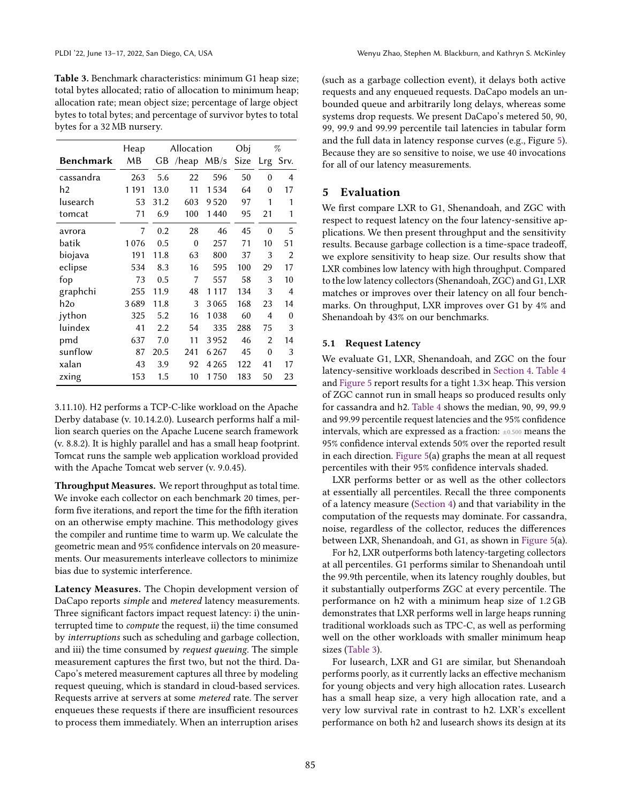<span id="page-9-0"></span>Table 3. Benchmark characteristics: minimum G1 heap size; total bytes allocated; ratio of allocation to minimum heap; allocation rate; mean object size; percentage of large object bytes to total bytes; and percentage of survivor bytes to total bytes for a 32 MB nursery.

|           | Heap    |      | Allocation |                   | Obj  |                | %    |
|-----------|---------|------|------------|-------------------|------|----------------|------|
| Benchmark | MВ      | GB   |            | $/$ heap MB $/$ s | Size | Lrg            | Srv. |
| cassandra | 263     | 5.6  | 22         | 596               | 50   | 0              | 4    |
| h2        | 1 1 9 1 | 13.0 | 11         | 1534              | 64   | 0              | 17   |
| lusearch  | 53      | 31.2 | 603        | 9520              | 97   | 1              | 1    |
| tomcat    | 71      | 6.9  | 100        | 1440              | 95   | 21             | 1    |
| avrora    | 7       | 0.2  | 28         | 46                | 45   | $\theta$       | 5    |
| batik     | 1076    | 0.5  | $\theta$   | 257               | 71   | 10             | 51   |
| biojava   | 191     | 11.8 | 63         | 800               | 37   | 3              | 2    |
| eclipse   | 534     | 8.3  | 16         | 595               | 100  | 29             | 17   |
| fop       | 73      | 0.5  | 7          | 557               | 58   | 3              | 10   |
| graphchi  | 255     | 11.9 | 48         | 1 1 1 7           | 134  | 3              | 4    |
| h2o       | 3689    | 11.8 | 3          | 3065              | 168  | 23             | 14   |
| jython    | 325     | 5.2  | 16         | 1038              | 60   | $\overline{4}$ | 0    |
| luindex   | 41      | 2.2  | 54         | 335               | 288  | 75             | 3    |
| pmd       | 637     | 7.0  | 11         | 3952              | 46   | 2              | 14   |
| sunflow   | 87      | 20.5 | 241        | 6267              | 45   | 0              | 3    |
| xalan     | 43      | 3.9  | 92         | 4 265             | 122  | 41             | 17   |
| zxing     | 153     | 1.5  | 10         | 1750              | 183  | 50             | 23   |

3.11.10). H2 performs a TCP-C-like workload on the Apache Derby database (v. 10.14.2.0). Lusearch performs half a million search queries on the Apache Lucene search framework (v. 8.8.2). It is highly parallel and has a small heap footprint. Tomcat runs the sample web application workload provided with the Apache Tomcat web server (v. 9.0.45).

Throughput Measures. We report throughput as total time. We invoke each collector on each benchmark 20 times, perform five iterations, and report the time for the fifth iteration on an otherwise empty machine. This methodology gives the compiler and runtime time to warm up. We calculate the geometric mean and 95% confidence intervals on 20 measurements. Our measurements interleave collectors to minimize bias due to systemic interference.

<span id="page-9-1"></span>Latency Measures. The Chopin development version of DaCapo reports simple and metered latency measurements. Three significant factors impact request latency: i) the uninterrupted time to compute the request, ii) the time consumed by interruptions such as scheduling and garbage collection, and iii) the time consumed by request queuing. The simple measurement captures the first two, but not the third. Da-Capo's metered measurement captures all three by modeling request queuing, which is standard in cloud-based services. Requests arrive at servers at some metered rate. The server enqueues these requests if there are insufficient resources to process them immediately. When an interruption arises

(such as a garbage collection event), it delays both active requests and any enqueued requests. DaCapo models an unbounded queue and arbitrarily long delays, whereas some systems drop requests. We present DaCapo's metered 50, 90, 99, 99.9 and 99.99 percentile tail latencies in tabular form and the full data in latency response curves (e.g., Figure [5\)](#page-10-0). Because they are so sensitive to noise, we use 40 invocations for all of our latency measurements.

# 5 Evaluation

We first compare LXR to G1, Shenandoah, and ZGC with respect to request latency on the four latency-sensitive applications. We then present throughput and the sensitivity results. Because garbage collection is a time-space tradeoff, we explore sensitivity to heap size. Our results show that LXR combines low latency with high throughput. Compared to the low latency collectors (Shenandoah, ZGC) and G1, LXR matches or improves over their latency on all four benchmarks. On throughput, LXR improves over G1 by 4% and Shenandoah by 43% on our benchmarks.

#### 5.1 Request Latency

We evaluate G1, LXR, Shenandoah, and ZGC on the four latency-sensitive workloads described in [Section 4.](#page-9-1) [Table 4](#page-10-1) and [Figure 5](#page-10-0) report results for a tight 1.3× heap. This version of ZGC cannot run in small heaps so produced results only for cassandra and h2. [Table 4](#page-10-1) shows the median, 90, 99, 99.9 and 99.99 percentile request latencies and the 95% confidence intervals, which are expressed as a fraction: ±0.500 means the 95% confidence interval extends 50% over the reported result in each direction. [Figure 5\(](#page-10-0)a) graphs the mean at all request percentiles with their 95% confidence intervals shaded.

LXR performs better or as well as the other collectors at essentially all percentiles. Recall the three components of a latency measure [\(Section 4\)](#page-9-1) and that variability in the computation of the requests may dominate. For cassandra, noise, regardless of the collector, reduces the differences between LXR, Shenandoah, and G1, as shown in [Figure 5\(](#page-10-0)a).

For h2, LXR outperforms both latency-targeting collectors at all percentiles. G1 performs similar to Shenandoah until the 99.9th percentile, when its latency roughly doubles, but it substantially outperforms ZGC at every percentile. The performance on h2 with a minimum heap size of 1.2 GB demonstrates that LXR performs well in large heaps running traditional workloads such as TPC-C, as well as performing well on the other workloads with smaller minimum heap sizes [\(Table 3\)](#page-9-0).

For lusearch, LXR and G1 are similar, but Shenandoah performs poorly, as it currently lacks an effective mechanism for young objects and very high allocation rates. Lusearch has a small heap size, a very high allocation rate, and a very low survival rate in contrast to h2. LXR's excellent performance on both h2 and lusearch shows its design at its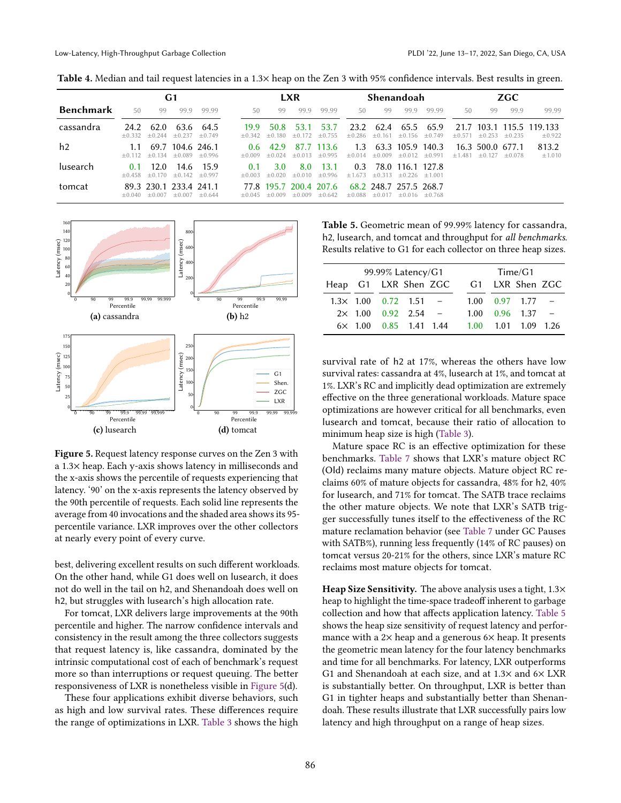<span id="page-10-1"></span>

| Table 4. Median and tail request latencies in a 1.3× heap on the Zen 3 with 95% confidence intervals. Best results in green. |  |  |
|------------------------------------------------------------------------------------------------------------------------------|--|--|
|                                                                                                                              |  |  |

|                  | G1               |                          |                                    |             |                  | <b>LXR</b>                     |                  |                         | Shenandoah       |                                                            |                                         |          | ZGC      |                              |          |                                    |
|------------------|------------------|--------------------------|------------------------------------|-------------|------------------|--------------------------------|------------------|-------------------------|------------------|------------------------------------------------------------|-----------------------------------------|----------|----------|------------------------------|----------|------------------------------------|
| <b>Benchmark</b> | 50               | 99                       | 999                                | 99.99       | 50               | 99                             | 99.9             | 99.99                   | 50               | 99                                                         | 99.9                                    | 99.99    | 50       | 99                           | 99.9     | 99.99                              |
| cassandra        | 24.2             | 62.0<br>$+0.332 + 0.244$ | 63.6<br>$+0.237 + 0.749$           | 64.5        | 19.9<br>$+0.342$ | 50.8<br>$+0.180$               | 53.1<br>$+0.172$ | 53.7<br>$+0.755$        | 23.2<br>$+0.286$ | 62.4                                                       | 65.5<br>$\pm 0.161 \pm 0.156 \pm 0.749$ | 65.9     | $+0.571$ | $+0.253$                     | $+0.235$ | 21.7 103.1 115.5 119.133<br>±0.922 |
| h2               | 1.1              | $+0.112 + 0.134$         | 69.7 104.6 246.1<br>$+0.089$       | $+0.996$    | 06<br>$+0.009$   | 42.9<br>$+0.024$               | 87.7<br>$+0.013$ | - 113.6<br>$+0.995$     | 1.3<br>$+0.014$  | $+0.009$                                                   | 63.3 105.9 140.3<br>$+0.012$            | $+0.991$ | $+1.481$ | 16.3 500.0 677.1<br>$+0.127$ | $+0.078$ | 813.2<br>±1.010                    |
| lusearch         | 0.1              | 12.0<br>$+0.458 + 0.170$ | 14.6<br>$+0.142 + 0.997$           | - 15.9      | 0.1<br>$+0.003$  | 3.0<br>$+0.020$                | 8.0<br>$+0.010$  | 13.1<br>$+0.996$        | 0.3<br>$+1.673$  | $+0.313$                                                   | 78.0 116.1 127.8<br>$+0.226 +1.001$     |          |          |                              |          |                                    |
| tomcat           | $+0.040 + 0.007$ |                          | 89.3 230.1 233.4 241.1<br>$+0.007$ | $\pm 0.644$ |                  | 77.8 195.7<br>$+0.045 + 0.009$ | $+0.009$         | 200.4 207.6<br>$+0.642$ |                  | 68.2 248.7 257.5 268.7<br>$+0.088 + 0.017 + 0.016 + 0.768$ |                                         |          |          |                              |          |                                    |

<span id="page-10-0"></span>

Figure 5. Request latency response curves on the Zen 3 with a 1.3× heap. Each y-axis shows latency in milliseconds and the x-axis shows the percentile of requests experiencing that latency. '90' on the x-axis represents the latency observed by the 90th percentile of requests. Each solid line represents the average from 40 invocations and the shaded area shows its 95 percentile variance. LXR improves over the other collectors at nearly every point of every curve.

best, delivering excellent results on such different workloads. On the other hand, while G1 does well on lusearch, it does not do well in the tail on h2, and Shenandoah does well on h2, but struggles with lusearch's high allocation rate.

For tomcat, LXR delivers large improvements at the 90th percentile and higher. The narrow confidence intervals and consistency in the result among the three collectors suggests that request latency is, like cassandra, dominated by the intrinsic computational cost of each of benchmark's request more so than interruptions or request queuing. The better responsiveness of LXR is nonetheless visible in [Figure 5\(](#page-10-0)d).

These four applications exhibit diverse behaviors, such as high and low survival rates. These differences require the range of optimizations in LXR. [Table 3](#page-9-0) shows the high

<span id="page-10-2"></span>Table 5. Geometric mean of 99.99% latency for cassandra, h2, lusearch, and tomcat and throughput for all benchmarks. Results relative to G1 for each collector on three heap sizes.

|                      | 99.99% Latency/G1              |  | Time/G1 |      |  |                              |  |  |
|----------------------|--------------------------------|--|---------|------|--|------------------------------|--|--|
| Heap G1 LXR Shen ZGC |                                |  |         |      |  | G1 LXR Shen ZGC              |  |  |
|                      | $1.3\times$ 1.00 0.72 1.51 -   |  |         |      |  | $1.00 \quad 0.97 \quad 1.77$ |  |  |
|                      | $2 \times 1.00$ 0.92 2.54 -    |  |         | 1.00 |  | 0.96 1.37                    |  |  |
|                      | $6 \times 1.00$ 0.85 1.41 1.44 |  |         |      |  | 1.00 1.01 1.09 1.26          |  |  |

survival rate of h2 at 17%, whereas the others have low survival rates: cassandra at 4%, lusearch at 1%, and tomcat at 1%. LXR's RC and implicitly dead optimization are extremely effective on the three generational workloads. Mature space optimizations are however critical for all benchmarks, even lusearch and tomcat, because their ratio of allocation to minimum heap size is high [\(Table 3\)](#page-9-0).

Mature space RC is an effective optimization for these benchmarks. [Table 7](#page-12-0) shows that LXR's mature object RC (Old) reclaims many mature objects. Mature object RC reclaims 60% of mature objects for cassandra, 48% for h2, 40% for lusearch, and 71% for tomcat. The SATB trace reclaims the other mature objects. We note that LXR's SATB trigger successfully tunes itself to the effectiveness of the RC mature reclamation behavior (see [Table 7](#page-12-0) under GC Pauses with SATB%), running less frequently (14% of RC pauses) on tomcat versus 20-21% for the others, since LXR's mature RC reclaims most mature objects for tomcat.

Heap Size Sensitivity. The above analysis uses a tight,  $1.3\times$ heap to highlight the time-space tradeoff inherent to garbage collection and how that affects application latency. [Table 5](#page-10-2) shows the heap size sensitivity of request latency and performance with a  $2\times$  heap and a generous  $6\times$  heap. It presents the geometric mean latency for the four latency benchmarks and time for all benchmarks. For latency, LXR outperforms G1 and Shenandoah at each size, and at 1.3× and 6× LXR is substantially better. On throughput, LXR is better than G1 in tighter heaps and substantially better than Shenandoah. These results illustrate that LXR successfully pairs low latency and high throughput on a range of heap sizes.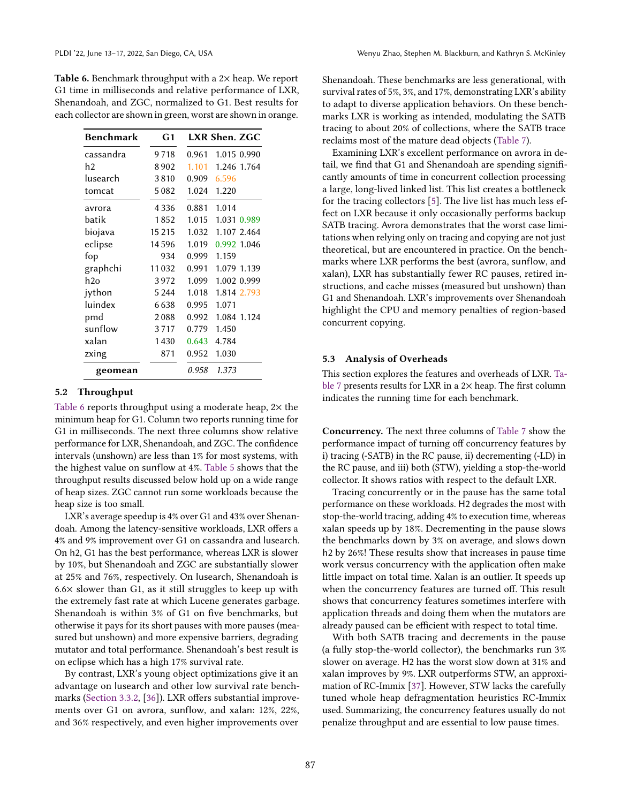<span id="page-11-2"></span>Table 6. Benchmark throughput with a 2× heap. We report G1 time in milliseconds and relative performance of LXR, Shenandoah, and ZGC, normalized to G1. Best results for each collector are shown in green, worst are shown in orange.

| Benchmark | G <sub>1</sub> |       | LXR Shen. ZGC |
|-----------|----------------|-------|---------------|
| cassandra | 9718           | 0.961 | 1.015 0.990   |
| h2        | 8902           | 1.101 | 1.246 1.764   |
| lusearch  | 3810           | 0.909 | 6.596         |
| tomcat    | 5082           | 1.024 | 1.220         |
| avrora    | 4 3 3 6        | 0.881 | 1.014         |
| batik     | 1852           | 1.015 | 1.031 0.989   |
| biojava   | 15 2 15        | 1.032 | 1.107 2.464   |
| eclipse   | 14596          | 1.019 | 0.992 1.046   |
| fop       | 934            | 0.999 | 1.159         |
| graphchi  | 11032          | 0.991 | 1.079 1.139   |
| h2o       | 3972           | 1.099 | 1.002 0.999   |
| jython    | 5 2 4 4        | 1.018 | 1.814 2.793   |
| luindex   | 6638           | 0.995 | 1.071         |
| pmd       | 2088           | 0.992 | 1.084 1.124   |
| sunflow   | 3717           | 0.779 | 1.450         |
| xalan     | 1430           | 0.643 | 4.784         |
| zxing     | 871            | 0.952 | 1.030         |
| geomean   |                | 0.958 | 1.373         |

#### <span id="page-11-0"></span>5.2 Throughput

[Table 6](#page-11-2) reports throughput using a moderate heap, 2× the minimum heap for G1. Column two reports running time for G1 in milliseconds. The next three columns show relative performance for LXR, Shenandoah, and ZGC. The confidence intervals (unshown) are less than 1% for most systems, with the highest value on sunflow at 4%. [Table 5](#page-10-2) shows that the throughput results discussed below hold up on a wide range of heap sizes. ZGC cannot run some workloads because the heap size is too small.

LXR's average speedup is 4% over G1 and 43% over Shenandoah. Among the latency-sensitive workloads, LXR offers a 4% and 9% improvement over G1 on cassandra and lusearch. On h2, G1 has the best performance, whereas LXR is slower by 10%, but Shenandoah and ZGC are substantially slower at 25% and 76%, respectively. On lusearch, Shenandoah is  $6.6\times$  slower than G1, as it still struggles to keep up with the extremely fast rate at which Lucene generates garbage. Shenandoah is within 3% of G1 on five benchmarks, but otherwise it pays for its short pauses with more pauses (measured but unshown) and more expensive barriers, degrading mutator and total performance. Shenandoah's best result is on eclipse which has a high 17% survival rate.

By contrast, LXR's young object optimizations give it an advantage on lusearch and other low survival rate benchmarks [\(Section 3.3.2,](#page-7-3) [\[36\]](#page-15-7)). LXR offers substantial improvements over G1 on avrora, sunflow, and xalan: 12%, 22%, and 36% respectively, and even higher improvements over

Shenandoah. These benchmarks are less generational, with survival rates of 5%, 3%, and 17%, demonstrating LXR's ability to adapt to diverse application behaviors. On these benchmarks LXR is working as intended, modulating the SATB tracing to about 20% of collections, where the SATB trace reclaims most of the mature dead objects [\(Table 7\)](#page-12-0).

Examining LXR's excellent performance on avrora in detail, we find that G1 and Shenandoah are spending significantly amounts of time in concurrent collection processing a large, long-lived linked list. This list creates a bottleneck for the tracing collectors [\[5\]](#page-14-2). The live list has much less effect on LXR because it only occasionally performs backup SATB tracing. Avrora demonstrates that the worst case limitations when relying only on tracing and copying are not just theoretical, but are encountered in practice. On the benchmarks where LXR performs the best (avrora, sunflow, and xalan), LXR has substantially fewer RC pauses, retired instructions, and cache misses (measured but unshown) than G1 and Shenandoah. LXR's improvements over Shenandoah highlight the CPU and memory penalties of region-based concurrent copying.

#### <span id="page-11-1"></span>5.3 Analysis of Overheads

This section explores the features and overheads of LXR. [Ta](#page-12-0)[ble 7](#page-12-0) presents results for LXR in a 2× heap. The first column indicates the running time for each benchmark.

Concurrency. The next three columns of [Table 7](#page-12-0) show the performance impact of turning off concurrency features by i) tracing (-SATB) in the RC pause, ii) decrementing (-LD) in the RC pause, and iii) both (STW), yielding a stop-the-world collector. It shows ratios with respect to the default LXR.

Tracing concurrently or in the pause has the same total performance on these workloads. H2 degrades the most with stop-the-world tracing, adding 4% to execution time, whereas xalan speeds up by 18%. Decrementing in the pause slows the benchmarks down by 3% on average, and slows down h2 by 26%! These results show that increases in pause time work versus concurrency with the application often make little impact on total time. Xalan is an outlier. It speeds up when the concurrency features are turned off. This result shows that concurrency features sometimes interfere with application threads and doing them when the mutators are already paused can be efficient with respect to total time.

With both SATB tracing and decrements in the pause (a fully stop-the-world collector), the benchmarks run 3% slower on average. H2 has the worst slow down at 31% and xalan improves by 9%. LXR outperforms STW, an approximation of RC-Immix [\[37\]](#page-15-5). However, STW lacks the carefully tuned whole heap defragmentation heuristics RC-Immix used. Summarizing, the concurrency features usually do not penalize throughput and are essential to low pause times.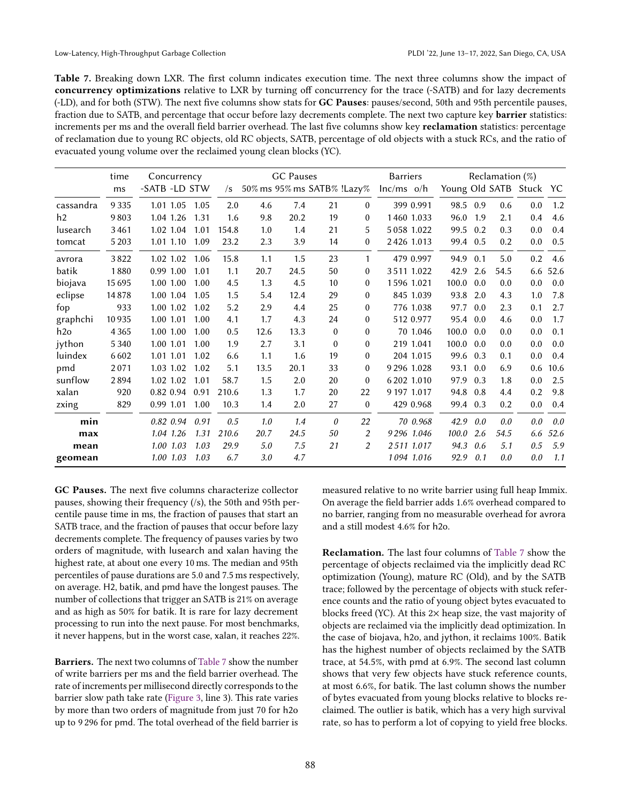<span id="page-12-0"></span>Table 7. Breaking down LXR. The first column indicates execution time. The next three columns show the impact of concurrency optimizations relative to LXR by turning off concurrency for the trace (-SATB) and for lazy decrements (-LD), and for both (STW). The next five columns show stats for GC Pauses: pauses/second, 50th and 95th percentile pauses, fraction due to SATB, and percentage that occur before lazy decrements complete. The next two capture key **barrier** statistics: increments per ms and the overall field barrier overhead. The last five columns show key reclamation statistics: percentage of reclamation due to young RC objects, old RC objects, SATB, percentage of old objects with a stuck RCs, and the ratio of evacuated young volume over the reclaimed young clean blocks (YC).

|           | time    | Concurrency   |      |            |      | GC Pauses                  |          |          | <b>Barriers</b> |          |     | Reclamation $(\%)$ |                      |      |
|-----------|---------|---------------|------|------------|------|----------------------------|----------|----------|-----------------|----------|-----|--------------------|----------------------|------|
|           | ms      | -SATB -LD STW |      | $\sqrt{s}$ |      | 50% ms 95% ms SATB% !Lazy% |          |          | $lnc/ms$ o/h    |          |     |                    | Young Old SATB Stuck | YC   |
| cassandra | 9 3 3 5 | 1.01 1.05     | 1.05 | 2.0        | 4.6  | 7.4                        | 21       | $\theta$ | 399 0.991       | 98.5 0.9 |     | 0.6                | 0.0                  | 1.2  |
| h2        | 9803    | 1.04 1.26     | 1.31 | 1.6        | 9.8  | 20.2                       | 19       | $\theta$ | 1460 1.033      | 96.0     | 1.9 | 2.1                | 0.4                  | 4.6  |
| lusearch  | 3461    | 1.02 1.04     | 1.01 | 154.8      | 1.0  | 1.4                        | 21       | 5        | 5 0 58 1.0 22   | 99.5     | 0.2 | 0.3                | 0.0                  | 0.4  |
| tomcat    | 5 2 0 3 | 1.01 1.10     | 1.09 | 23.2       | 2.3  | 3.9                        | 14       | $\theta$ | 2426 1.013      | 99.4 0.5 |     | 0.2                | 0.0                  | 0.5  |
| avrora    | 3822    | 1.02 1.02     | 1.06 | 15.8       | 1.1  | 1.5                        | 23       | 1        | 479 0.997       | 94.9     | 0.1 | 5.0                | 0.2                  | 4.6  |
| batik     | 1880    | 0.99 1.00     | 1.01 | 1.1        | 20.7 | 24.5                       | 50       | $\Omega$ | 3511 1.022      | 42.9     | 2.6 | 54.5               | 6.6                  | 52.6 |
| biojava   | 15 6 95 | 1.00 1.00     | 1.00 | 4.5        | 1.3  | 4.5                        | 10       | $\theta$ | 1596 1.021      | 100.0    | 0.0 | 0.0                | 0.0                  | 0.0  |
| eclipse   | 14878   | 1.00 1.04     | 1.05 | 1.5        | 5.4  | 12.4                       | 29       | $\Omega$ | 845 1.039       | 93.8     | 2.0 | 4.3                | 1.0                  | 7.8  |
| fop       | 933     | 1.00 1.02     | 1.02 | 5.2        | 2.9  | 4.4                        | 25       | $\Omega$ | 776 1.038       | 97.7     | 0.0 | 2.3                | 0.1                  | 2.7  |
| graphchi  | 10935   | 1.00 1.01     | 1.00 | 4.1        | 1.7  | 4.3                        | 24       | $\theta$ | 512 0.977       | 95.4 0.0 |     | 4.6                | 0.0                  | 1.7  |
| h2o       | 4 3 6 5 | 1.00 1.00     | 1.00 | 0.5        | 12.6 | 13.3                       | $\theta$ | $\theta$ | 70 1.046        | 100.0    | 0.0 | 0.0                | 0.0                  | 0.1  |
| jython    | 5 3 4 0 | 1.00 1.01     | 1.00 | 1.9        | 2.7  | 3.1                        | $\theta$ | $\theta$ | 219 1.041       | 100.0    | 0.0 | 0.0                | 0.0                  | 0.0  |
| luindex   | 6602    | 1.01 1.01     | 1.02 | 6.6        | 1.1  | 1.6                        | 19       | $\theta$ | 204 1.015       | 99.6     | 0.3 | 0.1                | 0.0                  | 0.4  |
| pmd       | 2071    | 1.03 1.02     | 1.02 | 5.1        | 13.5 | 20.1                       | 33       | $\theta$ | 9 29 6 1.028    | 93.1     | 0.0 | 6.9                | 0.6                  | 10.6 |
| sunflow   | 2894    | 1.02 1.02     | 1.01 | 58.7       | 1.5  | 2.0                        | 20       | $\Omega$ | 6 202 1.010     | 97.9     | 0.3 | 1.8                | 0.0                  | 2.5  |
| xalan     | 920     | 0.82 0.94     | 0.91 | 210.6      | 1.3  | 1.7                        | 20       | 22       | 9 197 1.017     | 94.8     | 0.8 | 4.4                | 0.2                  | 9.8  |
| zxing     | 829     | 0.99 1.01     | 1.00 | 10.3       | 1.4  | 2.0                        | 27       | $\theta$ | 429 0.968       | 99.4 0.3 |     | 0.2                | 0.0                  | 0.4  |
| min       |         | 0.82 0.94     | 0.91 | 0.5        | 1.0  | 1.4                        | $\theta$ | 22       | 70 0.968        | 42.9     | 0.0 | 0.0                | 0.0                  | 0.0  |
| max       |         | 1.04 1.26     | 1.31 | 210.6      | 20.7 | 24.5                       | 50       | 2        | 9 296 1.046     | 100.0    | 2.6 | 54.5               | 6.6                  | 52.6 |
| mean      |         | 1.00 1.03     | 1.03 | 29.9       | 5.0  | 7.5                        | 21       | 2        | 2511 1.017      | 94.3     | 0.6 | 5.1                | 0.5                  | 5.9  |
| geomean   |         | 1.00 1.03     | 1.03 | 6.7        | 3.0  | 4.7                        |          |          | 1094 1.016      | 92.9     | 0.1 | 0.0                | 0.0                  | 1.1  |

GC Pauses. The next five columns characterize collector pauses, showing their frequency (/s), the 50th and 95th percentile pause time in ms, the fraction of pauses that start an SATB trace, and the fraction of pauses that occur before lazy decrements complete. The frequency of pauses varies by two orders of magnitude, with lusearch and xalan having the highest rate, at about one every 10 ms. The median and 95th percentiles of pause durations are 5.0 and 7.5 ms respectively, on average. H2, batik, and pmd have the longest pauses. The number of collections that trigger an SATB is 21% on average and as high as 50% for batik. It is rare for lazy decrement processing to run into the next pause. For most benchmarks, it never happens, but in the worst case, xalan, it reaches 22%.

Barriers. The next two columns of [Table 7](#page-12-0) show the number of write barriers per ms and the field barrier overhead. The rate of increments per millisecond directly corresponds to the barrier slow path take rate [\(Figure 3,](#page-7-1) line 3). This rate varies by more than two orders of magnitude from just 70 for h2o up to 9 296 for pmd. The total overhead of the field barrier is measured relative to no write barrier using full heap Immix. On average the field barrier adds 1.6% overhead compared to no barrier, ranging from no measurable overhead for avrora and a still modest 4.6% for h2o.

Reclamation. The last four columns of [Table 7](#page-12-0) show the percentage of objects reclaimed via the implicitly dead RC optimization (Young), mature RC (Old), and by the SATB trace; followed by the percentage of objects with stuck reference counts and the ratio of young object bytes evacuated to blocks freed (YC). At this 2× heap size, the vast majority of objects are reclaimed via the implicitly dead optimization. In the case of biojava, h2o, and jython, it reclaims 100%. Batik has the highest number of objects reclaimed by the SATB trace, at 54.5%, with pmd at 6.9%. The second last column shows that very few objects have stuck reference counts, at most 6.6%, for batik. The last column shows the number of bytes evacuated from young blocks relative to blocks reclaimed. The outlier is batik, which has a very high survival rate, so has to perform a lot of copying to yield free blocks.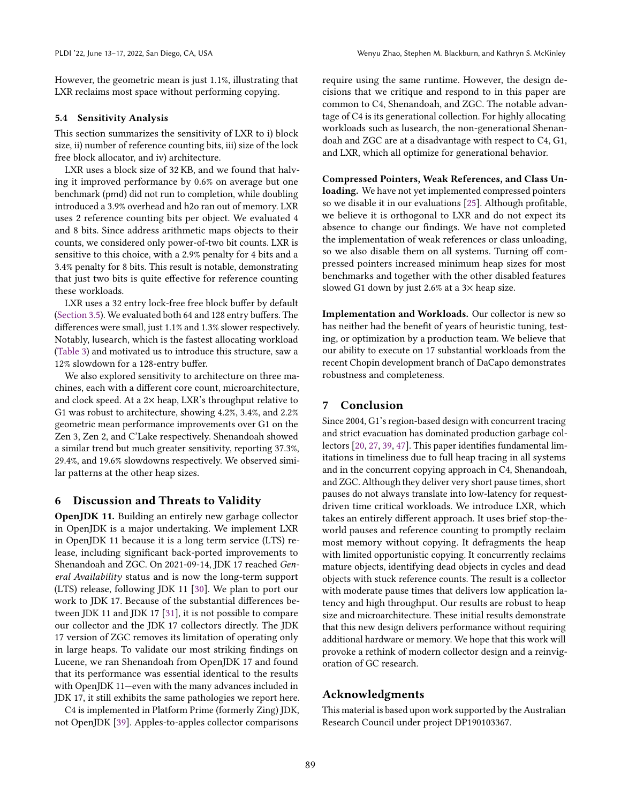However, the geometric mean is just 1.1%, illustrating that LXR reclaims most space without performing copying.

## 5.4 Sensitivity Analysis

This section summarizes the sensitivity of LXR to i) block size, ii) number of reference counting bits, iii) size of the lock free block allocator, and iv) architecture.

LXR uses a block size of 32 KB, and we found that halving it improved performance by 0.6% on average but one benchmark (pmd) did not run to completion, while doubling introduced a 3.9% overhead and h2o ran out of memory. LXR uses 2 reference counting bits per object. We evaluated 4 and 8 bits. Since address arithmetic maps objects to their counts, we considered only power-of-two bit counts. LXR is sensitive to this choice, with a 2.9% penalty for 4 bits and a 3.4% penalty for 8 bits. This result is notable, demonstrating that just two bits is quite effective for reference counting these workloads.

LXR uses a 32 entry lock-free free block buffer by default [\(Section 3.5\)](#page-8-2). We evaluated both 64 and 128 entry buffers. The differences were small, just 1.1% and 1.3% slower respectively. Notably, lusearch, which is the fastest allocating workload [\(Table 3\)](#page-9-0) and motivated us to introduce this structure, saw a 12% slowdown for a 128-entry buffer.

We also explored sensitivity to architecture on three machines, each with a different core count, microarchitecture, and clock speed. At a 2× heap, LXR's throughput relative to G1 was robust to architecture, showing 4.2%, 3.4%, and 2.2% geometric mean performance improvements over G1 on the Zen 3, Zen 2, and C'Lake respectively. Shenandoah showed a similar trend but much greater sensitivity, reporting 37.3%, 29.4%, and 19.6% slowdowns respectively. We observed similar patterns at the other heap sizes.

# 6 Discussion and Threats to Validity

OpenJDK 11. Building an entirely new garbage collector in OpenJDK is a major undertaking. We implement LXR in OpenJDK 11 because it is a long term service (LTS) release, including significant back-ported improvements to Shenandoah and ZGC. On 2021-09-14, JDK 17 reached General Availability status and is now the long-term support (LTS) release, following JDK 11 [\[30\]](#page-15-20). We plan to port our work to JDK 17. Because of the substantial differences between JDK 11 and JDK 17 [\[31\]](#page-15-21), it is not possible to compare our collector and the JDK 17 collectors directly. The JDK 17 version of ZGC removes its limitation of operating only in large heaps. To validate our most striking findings on Lucene, we ran Shenandoah from OpenJDK 17 and found that its performance was essential identical to the results with OpenJDK 11-even with the many advances included in JDK 17, it still exhibits the same pathologies we report here.

C4 is implemented in Platform Prime (formerly Zing) JDK, not OpenJDK [\[39\]](#page-15-1). Apples-to-apples collector comparisons

require using the same runtime. However, the design decisions that we critique and respond to in this paper are common to C4, Shenandoah, and ZGC. The notable advantage of C4 is its generational collection. For highly allocating workloads such as lusearch, the non-generational Shenandoah and ZGC are at a disadvantage with respect to C4, G1, and LXR, which all optimize for generational behavior.

<span id="page-13-0"></span>Compressed Pointers, Weak References, and Class Unloading. We have not yet implemented compressed pointers so we disable it in our evaluations [\[25\]](#page-14-22). Although profitable, we believe it is orthogonal to LXR and do not expect its absence to change our findings. We have not completed the implementation of weak references or class unloading, so we also disable them on all systems. Turning off compressed pointers increased minimum heap sizes for most benchmarks and together with the other disabled features slowed G1 down by just 2.6% at a 3× heap size.

Implementation and Workloads. Our collector is new so has neither had the benefit of years of heuristic tuning, testing, or optimization by a production team. We believe that our ability to execute on 17 substantial workloads from the recent Chopin development branch of DaCapo demonstrates robustness and completeness.

# 7 Conclusion

Since 2004, G1's region-based design with concurrent tracing and strict evacuation has dominated production garbage collectors [\[20,](#page-14-0) [27,](#page-15-2) [39,](#page-15-1) [47\]](#page-15-12). This paper identifies fundamental limitations in timeliness due to full heap tracing in all systems and in the concurrent copying approach in C4, Shenandoah, and ZGC. Although they deliver very short pause times, short pauses do not always translate into low-latency for requestdriven time critical workloads. We introduce LXR, which takes an entirely different approach. It uses brief stop-theworld pauses and reference counting to promptly reclaim most memory without copying. It defragments the heap with limited opportunistic copying. It concurrently reclaims mature objects, identifying dead objects in cycles and dead objects with stuck reference counts. The result is a collector with moderate pause times that delivers low application latency and high throughput. Our results are robust to heap size and microarchitecture. These initial results demonstrate that this new design delivers performance without requiring additional hardware or memory. We hope that this work will provoke a rethink of modern collector design and a reinvigoration of GC research.

# Acknowledgments

This material is based upon work supported by the Australian Research Council under project DP190103367.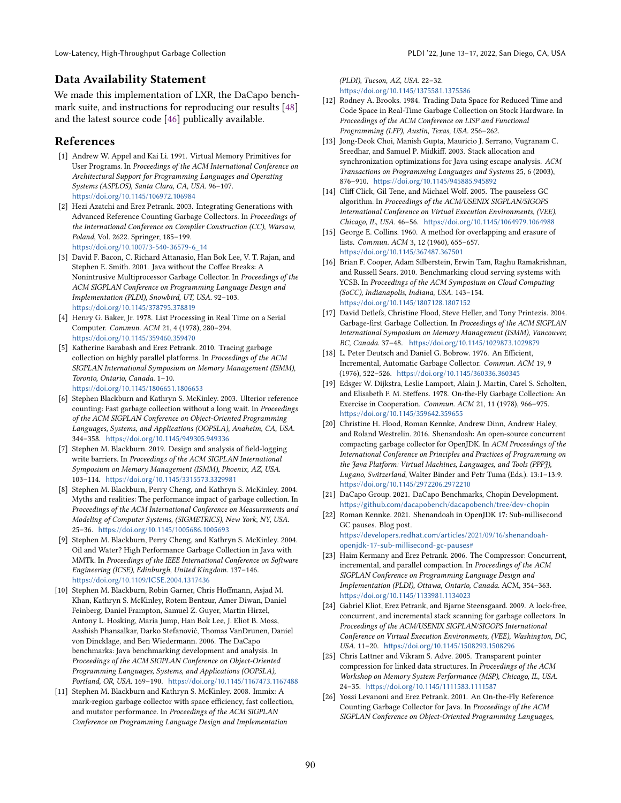# Data Availability Statement

We made this implementation of LXR, the DaCapo benchmark suite, and instructions for reproducing our results [\[48\]](#page-15-22) and the latest source code [\[46\]](#page-15-19) publically available.

# References

- <span id="page-14-16"></span>[1] Andrew W. Appel and Kai Li. 1991. Virtual Memory Primitives for User Programs. In Proceedings of the ACM International Conference on Architectural Support for Programming Languages and Operating Systems (ASPLOS), Santa Clara, CA, USA. 96-107. <https://doi.org/10.1145/106972.106984>
- <span id="page-14-6"></span>[2] Hezi Azatchi and Erez Petrank. 2003. Integrating Generations with Advanced Reference Counting Garbage Collectors. In Proceedings of the International Conference on Compiler Construction (CC), Warsaw, Poland, Vol. 2622. Springer, 185-199. [https://doi.org/10.1007/3-540-36579-6\\_14](https://doi.org/10.1007/3-540-36579-6_14)
- <span id="page-14-11"></span>[3] David F. Bacon, C. Richard Attanasio, Han Bok Lee, V. T. Rajan, and Stephen E. Smith. 2001. Java without the Coffee Breaks: A Nonintrusive Multiprocessor Garbage Collector. In Proceedings of the ACM SIGPLAN Conference on Programming Language Design and Implementation (PLDI), Snowbird, UT, USA. 92-103. <https://doi.org/10.1145/378795.378819>
- <span id="page-14-15"></span>[4] Henry G. Baker, Jr. 1978. List Processing in Real Time on a Serial Computer. Commun. ACM 21, 4 (1978), 280-294. <https://doi.org/10.1145/359460.359470>
- <span id="page-14-2"></span>[5] Katherine Barabash and Erez Petrank. 2010. Tracing garbage collection on highly parallel platforms. In Proceedings of the ACM SIGPLAN International Symposium on Memory Management (ISMM), Toronto, Ontario, Canada. 1-10. <https://doi.org/10.1145/1806651.1806653>
- <span id="page-14-12"></span>[6] Stephen Blackburn and Kathryn S. McKinley. 2003. Ulterior reference counting: Fast garbage collection without a long wait. In Proceedings of the ACM SIGPLAN Conference on Object-Oriented Programming Languages, Systems, and Applications (OOPSLA), Anaheim, CA, USA. 344-358. <https://doi.org/10.1145/949305.949336>
- <span id="page-14-5"></span>[7] Stephen M. Blackburn. 2019. Design and analysis of field-logging write barriers. In Proceedings of the ACM SIGPLAN International Symposium on Memory Management (ISMM), Phoenix, AZ, USA. 103-114. <https://doi.org/10.1145/3315573.3329981>
- <span id="page-14-7"></span>[8] Stephen M. Blackburn, Perry Cheng, and Kathryn S. McKinley. 2004. Myths and realities: The performance impact of garbage collection. In Proceedings of the ACM International Conference on Measurements and Modeling of Computer Systems, (SIGMETRICS), New York, NY, USA. 25-36. <https://doi.org/10.1145/1005686.1005693>
- <span id="page-14-8"></span>[9] Stephen M. Blackburn, Perry Cheng, and Kathryn S. McKinley. 2004. Oil and Water? High Performance Garbage Collection in Java with MMTk. In Proceedings of the IEEE International Conference on Software Engineering (ICSE), Edinburgh, United Kingdom. 137-146. <https://doi.org/10.1109/ICSE.2004.1317436>
- <span id="page-14-23"></span>[10] Stephen M. Blackburn, Robin Garner, Chris Hoffmann, Asjad M. Khan, Kathryn S. McKinley, Rotem Bentzur, Amer Diwan, Daniel Feinberg, Daniel Frampton, Samuel Z. Guyer, Martin Hirzel, Antony L. Hosking, Maria Jump, Han Bok Lee, J. Eliot B. Moss, Aashish Phansalkar, Darko Stefanović, Thomas VanDrunen, Daniel von Dincklage, and Ben Wiedermann. 2006. The DaCapo benchmarks: Java benchmarking development and analysis. In Proceedings of the ACM SIGPLAN Conference on Object-Oriented Programming Languages, Systems, and Applications (OOPSLA), Portland, OR, USA. 169-190. <https://doi.org/10.1145/1167473.1167488>
- <span id="page-14-3"></span>[11] Stephen M. Blackburn and Kathryn S. McKinley. 2008. Immix: A mark-region garbage collector with space efficiency, fast collection, and mutator performance. In Proceedings of the ACM SIGPLAN Conference on Programming Language Design and Implementation

(PLDI), Tucson, AZ, USA.  $22-32$ . <https://doi.org/10.1145/1375581.1375586>

- <span id="page-14-14"></span>[12] Rodney A. Brooks. 1984. Trading Data Space for Reduced Time and Code Space in Real-Time Garbage Collection on Stock Hardware. In Proceedings of the ACM Conference on LISP and Functional Programming (LFP), Austin, Texas, USA. 256-262.
- <span id="page-14-19"></span>[13] Jong-Deok Choi, Manish Gupta, Mauricio J. Serrano, Vugranam C. Sreedhar, and Samuel P. Midkiff. 2003. Stack allocation and synchronization optimizations for Java using escape analysis. ACM Transactions on Programming Languages and Systems 25, 6 (2003), 876-910. <https://doi.org/10.1145/945885.945892>
- <span id="page-14-17"></span>[14] Cliff Click, Gil Tene, and Michael Wolf. 2005. The pauseless GC algorithm. In Proceedings of the ACM/USENIX SIGPLAN/SIGOPS International Conference on Virtual Execution Environments, (VEE), Chicago, IL, USA. 46-56. <https://doi.org/10.1145/1064979.1064988>
- <span id="page-14-9"></span>[15] George E. Collins. 1960. A method for overlapping and erasure of lists. Commun. ACM 3, 12 (1960), 655-657. <https://doi.org/10.1145/367487.367501>
- <span id="page-14-25"></span>[16] Brian F. Cooper, Adam Silberstein, Erwin Tam, Raghu Ramakrishnan, and Russell Sears. 2010. Benchmarking cloud serving systems with YCSB. In Proceedings of the ACM Symposium on Cloud Computing (SoCC), Indianapolis, Indiana, USA. 143-154. <https://doi.org/10.1145/1807128.1807152>
- <span id="page-14-1"></span>[17] David Detlefs, Christine Flood, Steve Heller, and Tony Printezis. 2004. Garbage-first Garbage Collection. In Proceedings of the ACM SIGPLAN International Symposium on Memory Management (ISMM), Vancouver, BC, Canada. 37-48. <https://doi.org/10.1145/1029873.1029879>
- <span id="page-14-10"></span>[18] L. Peter Deutsch and Daniel G. Bobrow. 1976. An Efficient, Incremental, Automatic Garbage Collector. Commun. ACM 19, 9 (1976), 522-526. <https://doi.org/10.1145/360336.360345>
- <span id="page-14-13"></span>[19] Edsger W. Dijkstra, Leslie Lamport, Alain J. Martin, Carel S. Scholten, and Elisabeth F. M. Steffens. 1978. On-the-Fly Garbage Collection: An Exercise in Cooperation. Commun. ACM 21, 11 (1978), 966-975. <https://doi.org/10.1145/359642.359655>
- <span id="page-14-0"></span>[20] Christine H. Flood, Roman Kennke, Andrew Dinn, Andrew Haley, and Roland Westrelin. 2016. Shenandoah: An open-source concurrent compacting garbage collector for OpenJDK. In ACM Proceedings of the International Conference on Principles and Practices of Programming on the Java Platform: Virtual Machines, Languages, and Tools (PPPJ), Lugano, Switzerland, Walter Binder and Petr Tuma (Eds.). 13:1-13:9. <https://doi.org/10.1145/2972206.2972210>
- <span id="page-14-24"></span>[21] DaCapo Group. 2021. DaCapo Benchmarks, Chopin Development. <https://github.com/dacapobench/dacapobench/tree/dev-chopin>
- <span id="page-14-20"></span>[22] Roman Kennke. 2021. Shenandoah in OpenJDK 17: Sub-millisecond GC pauses. Blog post. [https://developers.redhat.com/articles/2021/09/16/shenandoah](https://developers.redhat.com/articles/2021/09/16/shenandoah-openjdk-17-sub-millisecond-gc-pauses#)[openjdk-17-sub-millisecond-gc-pauses#](https://developers.redhat.com/articles/2021/09/16/shenandoah-openjdk-17-sub-millisecond-gc-pauses#)
- <span id="page-14-18"></span>[23] Haim Kermany and Erez Petrank. 2006. The Compressor: Concurrent, incremental, and parallel compaction. In Proceedings of the ACM SIGPLAN Conference on Programming Language Design and Implementation (PLDI), Ottawa, Ontario, Canada. ACM, 354-363. <https://doi.org/10.1145/1133981.1134023>
- <span id="page-14-21"></span>[24] Gabriel Kliot, Erez Petrank, and Bjarne Steensgaard. 2009. A lock-free, concurrent, and incremental stack scanning for garbage collectors. In Proceedings of the ACM/USENIX SIGPLAN/SIGOPS International Conference on Virtual Execution Environments, (VEE), Washington, DC, USA. 11-20. <https://doi.org/10.1145/1508293.1508296>
- <span id="page-14-22"></span>[25] Chris Lattner and Vikram S. Adve. 2005. Transparent pointer compression for linked data structures. In Proceedings of the ACM Workshop on Memory System Performance (MSP), Chicago, IL, USA. 24-35. <https://doi.org/10.1145/1111583.1111587>
- <span id="page-14-4"></span>[26] Yossi Levanoni and Erez Petrank. 2001. An On-the-Fly Reference Counting Garbage Collector for Java. In Proceedings of the ACM SIGPLAN Conference on Object-Oriented Programming Languages,